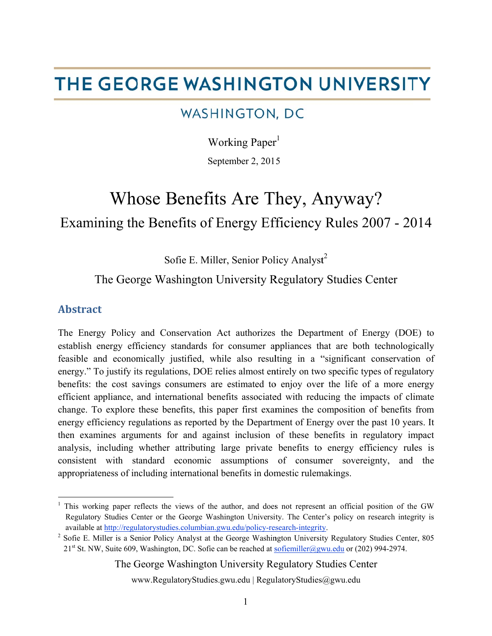# THE GEORGE WASHINGTON UNIVERSITY

## WASHINGTON, DC

Working Paper<sup>1</sup>

September 2, 2015

# Examining the Benefits of Energy Efficiency Rules 2007 - 2014 Whose Benefits Are They, Anyway?

Sofie E. Miller, Senior Policy Analyst<sup>2</sup>

### The George Washington University Regulatory Studies Center

#### Abstract

 $\overline{a}$ 

 $\overline{a}$ 

 $\overline{a}$ 

The Energy Policy and Conservation Act authorizes the Department of Energy (DOE) to establish energy efficiency standards for consumer appliances that are both technologically feasible and economically justified, while also resulting in a "significant conservation of energy." To justify its regulations, DOE relies almost entirely on two specific types of regulatory benefits: the cost savings consumers are estimated to enjoy over the life of a more energy efficient appliance, and international benefits associated with reducing the impacts of climate change. To explore these benefits, this paper first examines the composition of benefits from energy efficiency regulations as reported by the Department of Energy over the past 10 years. It then examines arguments for and against inclusion of these benefits in regulatory impact analysis, including whether attributing large private benefits to energy efficiency rules is consistent with standard economic assumptions of consumer sovereignty, and the appropriateness of including international benefits in domestic rulemakings.

The George Washington University Regulatory Studies Center

<sup>&</sup>lt;sup>1</sup> This working paper reflects the views of the author, and does not represent an official position of the GW Regulatory Studies Center or the George Washington University. The Center's policy on research integrity is available at http://regulatorystudies.columbian.gwu.edu/policy-research-integrity.

<sup>&</sup>lt;sup>2</sup> Sofie E. Miller is a Senior Policy Analyst at the George Washington University Regulatory Studies Center, 805 21<sup>st</sup> St. NW, Suite 609, Washington, DC. Sofie can be reached at sofiemiller@gwu.edu or (202) 994-2974.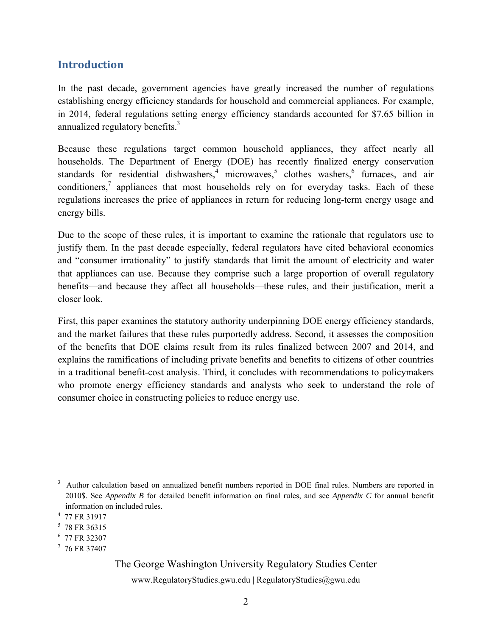#### **Introduction**

In the past decade, government agencies have greatly increased the number of regulations establishing energy efficiency standards for household and commercial appliances. For example, in 2014, federal regulations setting energy efficiency standards accounted for \$7.65 billion in annualized regulatory benefits.<sup>3</sup>

Because these regulations target common household appliances, they affect nearly all households. The Department of Energy (DOE) has recently finalized energy conservation standards for residential dishwashers,<sup>4</sup> microwaves,<sup>5</sup> clothes washers,<sup>6</sup> furnaces, and air conditioners, $\frac{7}{1}$  appliances that most households rely on for everyday tasks. Each of these regulations increases the price of appliances in return for reducing long-term energy usage and energy bills.

Due to the scope of these rules, it is important to examine the rationale that regulators use to justify them. In the past decade especially, federal regulators have cited behavioral economics and "consumer irrationality" to justify standards that limit the amount of electricity and water that appliances can use. Because they comprise such a large proportion of overall regulatory benefits—and because they affect all households—these rules, and their justification, merit a closer look.

First, this paper examines the statutory authority underpinning DOE energy efficiency standards, and the market failures that these rules purportedly address. Second, it assesses the composition of the benefits that DOE claims result from its rules finalized between 2007 and 2014, and explains the ramifications of including private benefits and benefits to citizens of other countries in a traditional benefit-cost analysis. Third, it concludes with recommendations to policymakers who promote energy efficiency standards and analysts who seek to understand the role of consumer choice in constructing policies to reduce energy use.

<u>.</u>

### The George Washington University Regulatory Studies Center

<sup>3</sup> Author calculation based on annualized benefit numbers reported in DOE final rules. Numbers are reported in 2010\$. See *Appendix B* for detailed benefit information on final rules, and see *Appendix C* for annual benefit information on included rules. 4

<sup>&</sup>lt;sup>4</sup> 77 FR 31917

<sup>5</sup> 78 FR 36315

<sup>6</sup> 77 FR 32307

<sup>7</sup> 76 FR 37407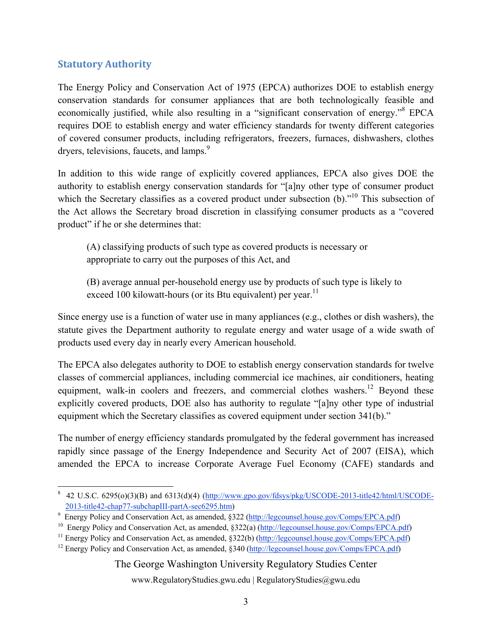#### **Statutory Authority**

The Energy Policy and Conservation Act of 1975 (EPCA) authorizes DOE to establish energy conservation standards for consumer appliances that are both technologically feasible and economically justified, while also resulting in a "significant conservation of energy."<sup>8</sup> EPCA requires DOE to establish energy and water efficiency standards for twenty different categories of covered consumer products, including refrigerators, freezers, furnaces, dishwashers, clothes dryers, televisions, faucets, and lamps.<sup>9</sup>

In addition to this wide range of explicitly covered appliances, EPCA also gives DOE the authority to establish energy conservation standards for "[a]ny other type of consumer product which the Secretary classifies as a covered product under subsection (b)."<sup>10</sup> This subsection of the Act allows the Secretary broad discretion in classifying consumer products as a "covered product" if he or she determines that:

(A) classifying products of such type as covered products is necessary or appropriate to carry out the purposes of this Act, and

(B) average annual per-household energy use by products of such type is likely to exceed 100 kilowatt-hours (or its Btu equivalent) per year.<sup>11</sup>

Since energy use is a function of water use in many appliances (e.g., clothes or dish washers), the statute gives the Department authority to regulate energy and water usage of a wide swath of products used every day in nearly every American household.

The EPCA also delegates authority to DOE to establish energy conservation standards for twelve classes of commercial appliances, including commercial ice machines, air conditioners, heating equipment, walk-in coolers and freezers, and commercial clothes washers.<sup>12</sup> Beyond these explicitly covered products, DOE also has authority to regulate "[a]ny other type of industrial equipment which the Secretary classifies as covered equipment under section 341(b)."

The number of energy efficiency standards promulgated by the federal government has increased rapidly since passage of the Energy Independence and Security Act of 2007 (EISA), which amended the EPCA to increase Corporate Average Fuel Economy (CAFE) standards and

The George Washington University Regulatory Studies Center

 $\overline{a}$  $8$  42 U.S.C. 6295(o)(3)(B) and 6313(d)(4) (http://www.gpo.gov/fdsys/pkg/USCODE-2013-title42/html/USCODE-2013-title42-chap77-subchapIII-partA-sec6295.htm)<br>
9 Energy Policy and Conservation Act, as amended, §322 (http://legcounsel.house.gov/Comps/EPCA.pdf)

<sup>&</sup>lt;sup>10</sup> Energy Policy and Conservation Act, as amended, §322(a) ( $\frac{http://legcounsel.house.gov/Comps/EPCA.pdf}{http://legcounsel.house.gov/Comps/EPCA.pdf}$ <br><sup>11</sup> Energy Policy and Conservation Act, as amended, §322(b) ( $\frac{http://legcounsel.house.gov/Comps/EPCA.pdf}{http://legcounsel.house.gov/Comps/EPCA.pdf}$ <br><sup>12</sup> Energy Polic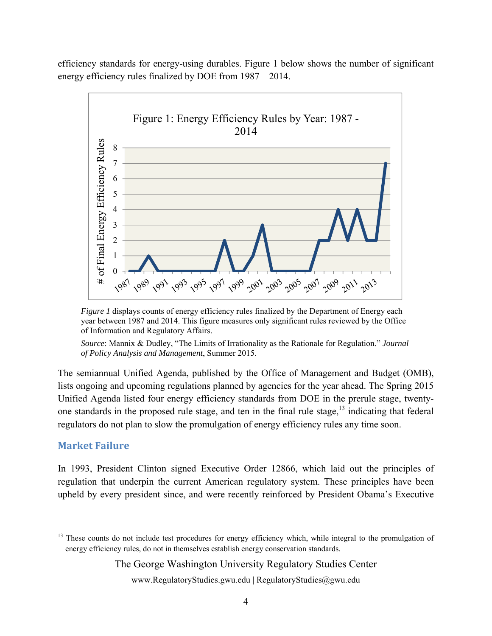efficiency standards for energy-using durables. Figure 1 below shows the number of significant energy efficiency rules finalized by DOE from 1987 – 2014.



*Figure 1* displays counts of energy efficiency rules finalized by the Department of Energy each year between 1987 and 2014. This figure measures only significant rules reviewed by the Office of Information and Regulatory Affairs.

*Source*: Mannix & Dudley, "The Limits of Irrationality as the Rationale for Regulation." *Journal of Policy Analysis and Management*, Summer 2015.

The semiannual Unified Agenda, published by the Office of Management and Budget (OMB), lists ongoing and upcoming regulations planned by agencies for the year ahead. The Spring 2015 Unified Agenda listed four energy efficiency standards from DOE in the prerule stage, twentyone standards in the proposed rule stage, and ten in the final rule stage,  $13$  indicating that federal regulators do not plan to slow the promulgation of energy efficiency rules any time soon.

#### **Market Failure**

 $\overline{a}$ 

In 1993, President Clinton signed Executive Order 12866, which laid out the principles of regulation that underpin the current American regulatory system. These principles have been upheld by every president since, and were recently reinforced by President Obama's Executive

<sup>&</sup>lt;sup>13</sup> These counts do not include test procedures for energy efficiency which, while integral to the promulgation of energy efficiency rules, do not in themselves establish energy conservation standards.

www.RegulatoryStudies.gwu.edu | RegulatoryStudies@gwu.edu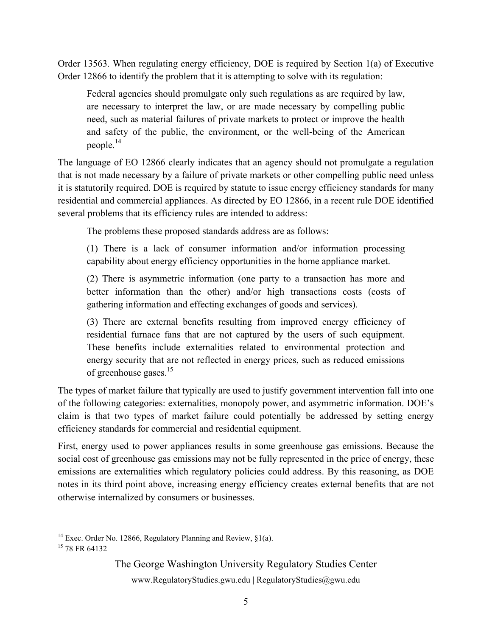Order 13563. When regulating energy efficiency, DOE is required by Section 1(a) of Executive Order 12866 to identify the problem that it is attempting to solve with its regulation:

Federal agencies should promulgate only such regulations as are required by law, are necessary to interpret the law, or are made necessary by compelling public need, such as material failures of private markets to protect or improve the health and safety of the public, the environment, or the well-being of the American people.14

The language of EO 12866 clearly indicates that an agency should not promulgate a regulation that is not made necessary by a failure of private markets or other compelling public need unless it is statutorily required. DOE is required by statute to issue energy efficiency standards for many residential and commercial appliances. As directed by EO 12866, in a recent rule DOE identified several problems that its efficiency rules are intended to address:

The problems these proposed standards address are as follows:

(1) There is a lack of consumer information and/or information processing capability about energy efficiency opportunities in the home appliance market.

(2) There is asymmetric information (one party to a transaction has more and better information than the other) and/or high transactions costs (costs of gathering information and effecting exchanges of goods and services).

(3) There are external benefits resulting from improved energy efficiency of residential furnace fans that are not captured by the users of such equipment. These benefits include externalities related to environmental protection and energy security that are not reflected in energy prices, such as reduced emissions of greenhouse gases. $15$ 

The types of market failure that typically are used to justify government intervention fall into one of the following categories: externalities, monopoly power, and asymmetric information. DOE's claim is that two types of market failure could potentially be addressed by setting energy efficiency standards for commercial and residential equipment.

First, energy used to power appliances results in some greenhouse gas emissions. Because the social cost of greenhouse gas emissions may not be fully represented in the price of energy, these emissions are externalities which regulatory policies could address. By this reasoning, as DOE notes in its third point above, increasing energy efficiency creates external benefits that are not otherwise internalized by consumers or businesses.

 $\overline{a}$ 

The George Washington University Regulatory Studies Center

<sup>&</sup>lt;sup>14</sup> Exec. Order No. 12866, Regulatory Planning and Review,  $\S1(a)$ .

<sup>&</sup>lt;sup>15</sup> 78 FR 64132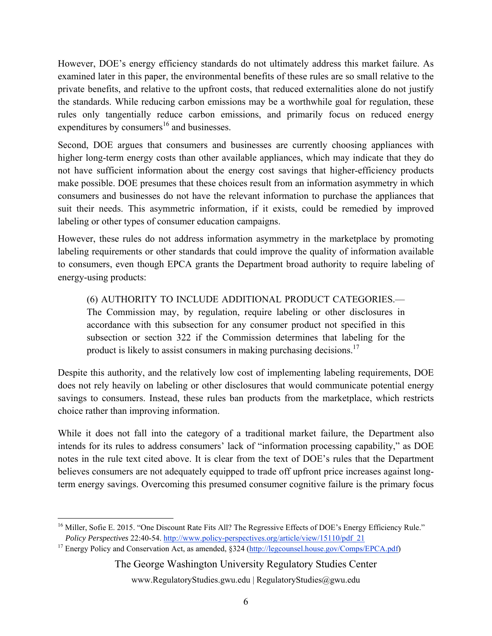However, DOE's energy efficiency standards do not ultimately address this market failure. As examined later in this paper, the environmental benefits of these rules are so small relative to the private benefits, and relative to the upfront costs, that reduced externalities alone do not justify the standards. While reducing carbon emissions may be a worthwhile goal for regulation, these rules only tangentially reduce carbon emissions, and primarily focus on reduced energy expenditures by consumers $^{16}$  and businesses.

Second, DOE argues that consumers and businesses are currently choosing appliances with higher long-term energy costs than other available appliances, which may indicate that they do not have sufficient information about the energy cost savings that higher-efficiency products make possible. DOE presumes that these choices result from an information asymmetry in which consumers and businesses do not have the relevant information to purchase the appliances that suit their needs. This asymmetric information, if it exists, could be remedied by improved labeling or other types of consumer education campaigns.

However, these rules do not address information asymmetry in the marketplace by promoting labeling requirements or other standards that could improve the quality of information available to consumers, even though EPCA grants the Department broad authority to require labeling of energy-using products:

(6) AUTHORITY TO INCLUDE ADDITIONAL PRODUCT CATEGORIES.— The Commission may, by regulation, require labeling or other disclosures in accordance with this subsection for any consumer product not specified in this subsection or section 322 if the Commission determines that labeling for the product is likely to assist consumers in making purchasing decisions.<sup>17</sup>

Despite this authority, and the relatively low cost of implementing labeling requirements, DOE does not rely heavily on labeling or other disclosures that would communicate potential energy savings to consumers. Instead, these rules ban products from the marketplace, which restricts choice rather than improving information.

While it does not fall into the category of a traditional market failure, the Department also intends for its rules to address consumers' lack of "information processing capability," as DOE notes in the rule text cited above. It is clear from the text of DOE's rules that the Department believes consumers are not adequately equipped to trade off upfront price increases against longterm energy savings. Overcoming this presumed consumer cognitive failure is the primary focus

The George Washington University Regulatory Studies Center

 $\overline{a}$ <sup>16</sup> Miller, Sofie E. 2015. "One Discount Rate Fits All? The Regressive Effects of DOE's Energy Efficiency Rule." *Policy Perspectives* 22:40-54. http://www.policy-perspectives.org/article/view/15110/pdf\_21 <sup>17</sup> Energy Policy and Conservation Act, as amended, §324 (http://legcounsel.house.gov/Comps/EPCA.pdf)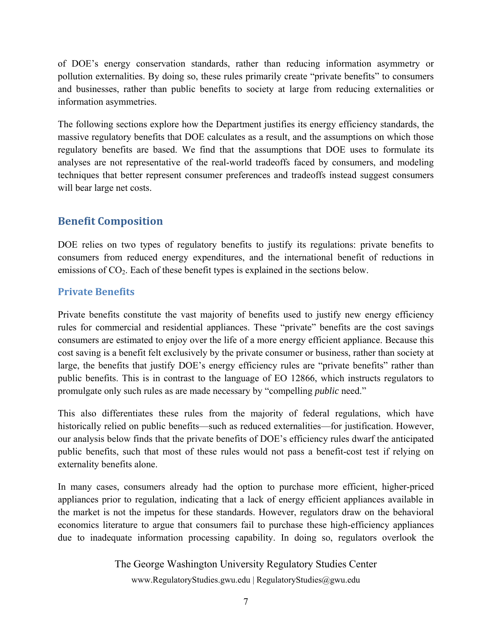of DOE's energy conservation standards, rather than reducing information asymmetry or pollution externalities. By doing so, these rules primarily create "private benefits" to consumers and businesses, rather than public benefits to society at large from reducing externalities or information asymmetries.

The following sections explore how the Department justifies its energy efficiency standards, the massive regulatory benefits that DOE calculates as a result, and the assumptions on which those regulatory benefits are based. We find that the assumptions that DOE uses to formulate its analyses are not representative of the real-world tradeoffs faced by consumers, and modeling techniques that better represent consumer preferences and tradeoffs instead suggest consumers will bear large net costs.

#### **Benefit Composition**

DOE relies on two types of regulatory benefits to justify its regulations: private benefits to consumers from reduced energy expenditures, and the international benefit of reductions in emissions of CO<sub>2</sub>. Each of these benefit types is explained in the sections below.

#### **Private Benefits**

Private benefits constitute the vast majority of benefits used to justify new energy efficiency rules for commercial and residential appliances. These "private" benefits are the cost savings consumers are estimated to enjoy over the life of a more energy efficient appliance. Because this cost saving is a benefit felt exclusively by the private consumer or business, rather than society at large, the benefits that justify DOE's energy efficiency rules are "private benefits" rather than public benefits. This is in contrast to the language of EO 12866, which instructs regulators to promulgate only such rules as are made necessary by "compelling *public* need."

This also differentiates these rules from the majority of federal regulations, which have historically relied on public benefits—such as reduced externalities—for justification. However, our analysis below finds that the private benefits of DOE's efficiency rules dwarf the anticipated public benefits, such that most of these rules would not pass a benefit-cost test if relying on externality benefits alone.

In many cases, consumers already had the option to purchase more efficient, higher-priced appliances prior to regulation, indicating that a lack of energy efficient appliances available in the market is not the impetus for these standards. However, regulators draw on the behavioral economics literature to argue that consumers fail to purchase these high-efficiency appliances due to inadequate information processing capability. In doing so, regulators overlook the

The George Washington University Regulatory Studies Center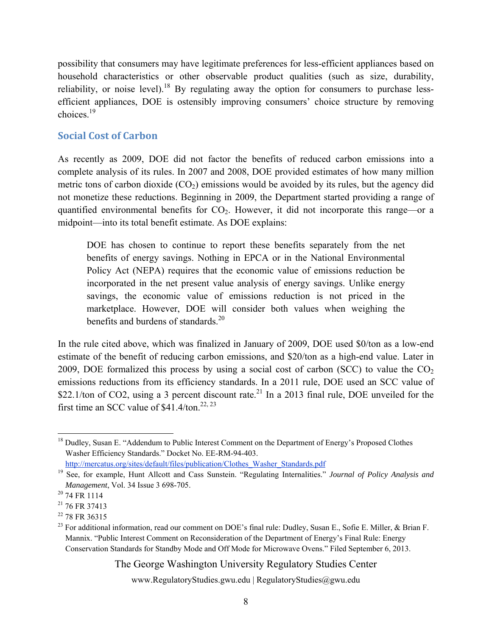possibility that consumers may have legitimate preferences for less-efficient appliances based on household characteristics or other observable product qualities (such as size, durability, reliability, or noise level).<sup>18</sup> By regulating away the option for consumers to purchase lessefficient appliances, DOE is ostensibly improving consumers' choice structure by removing choices $19$ 

#### **Social Cost of Carbon**

As recently as 2009, DOE did not factor the benefits of reduced carbon emissions into a complete analysis of its rules. In 2007 and 2008, DOE provided estimates of how many million metric tons of carbon dioxide  $(CO_2)$  emissions would be avoided by its rules, but the agency did not monetize these reductions. Beginning in 2009, the Department started providing a range of quantified environmental benefits for CO<sub>2</sub>. However, it did not incorporate this range—or a midpoint—into its total benefit estimate. As DOE explains:

DOE has chosen to continue to report these benefits separately from the net benefits of energy savings. Nothing in EPCA or in the National Environmental Policy Act (NEPA) requires that the economic value of emissions reduction be incorporated in the net present value analysis of energy savings. Unlike energy savings, the economic value of emissions reduction is not priced in the marketplace. However, DOE will consider both values when weighing the benefits and burdens of standards.<sup>20</sup>

In the rule cited above, which was finalized in January of 2009, DOE used \$0/ton as a low-end estimate of the benefit of reducing carbon emissions, and \$20/ton as a high-end value. Later in 2009, DOE formalized this process by using a social cost of carbon (SCC) to value the  $CO<sub>2</sub>$ emissions reductions from its efficiency standards. In a 2011 rule, DOE used an SCC value of \$22.1/ton of CO2, using a 3 percent discount rate.<sup>21</sup> In a 2013 final rule, DOE unveiled for the first time an SCC value of  $$41.4/t$ on.<sup>22, 23</sup>

The George Washington University Regulatory Studies Center

 $\overline{a}$ <sup>18</sup> Dudley, Susan E. "Addendum to Public Interest Comment on the Department of Energy's Proposed Clothes Washer Efficiency Standards." Docket No. EE-RM-94-403.

http://mercatus.org/sites/default/files/publication/Clothes\_Washer\_Standards.pdf

<sup>19</sup> See, for example, Hunt Allcott and Cass Sunstein. "Regulating Internalities." *Journal of Policy Analysis and Management*, Vol. 34 Issue 3 698-705.<br><sup>20</sup> 74 FR 1114

 $21$  76 FR 37413

<sup>&</sup>lt;sup>22</sup> 78 FR 36315

<sup>&</sup>lt;sup>23</sup> For additional information, read our comment on DOE's final rule: Dudley, Susan E., Sofie E. Miller, & Brian F. Mannix. "Public Interest Comment on Reconsideration of the Department of Energy's Final Rule: Energy Conservation Standards for Standby Mode and Off Mode for Microwave Ovens." Filed September 6, 2013.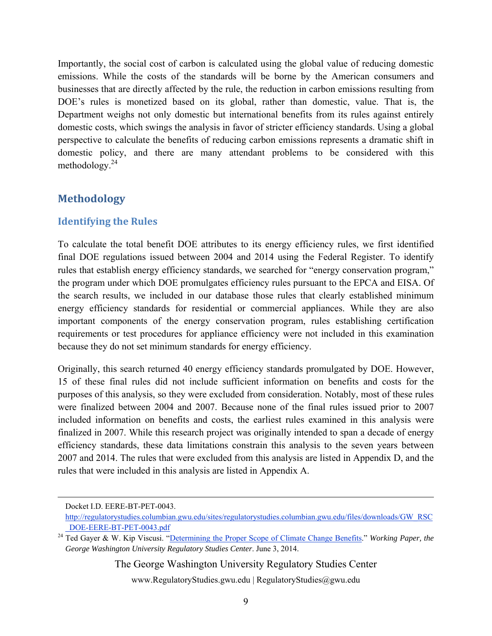Importantly, the social cost of carbon is calculated using the global value of reducing domestic emissions. While the costs of the standards will be borne by the American consumers and businesses that are directly affected by the rule, the reduction in carbon emissions resulting from DOE's rules is monetized based on its global, rather than domestic, value. That is, the Department weighs not only domestic but international benefits from its rules against entirely domestic costs, which swings the analysis in favor of stricter efficiency standards. Using a global perspective to calculate the benefits of reducing carbon emissions represents a dramatic shift in domestic policy, and there are many attendant problems to be considered with this methodology. $^{24}$ 

#### **Methodology**

#### **Identifying the Rules**

To calculate the total benefit DOE attributes to its energy efficiency rules, we first identified final DOE regulations issued between 2004 and 2014 using the Federal Register. To identify rules that establish energy efficiency standards, we searched for "energy conservation program," the program under which DOE promulgates efficiency rules pursuant to the EPCA and EISA. Of the search results, we included in our database those rules that clearly established minimum energy efficiency standards for residential or commercial appliances. While they are also important components of the energy conservation program, rules establishing certification requirements or test procedures for appliance efficiency were not included in this examination because they do not set minimum standards for energy efficiency.

Originally, this search returned 40 energy efficiency standards promulgated by DOE. However, 15 of these final rules did not include sufficient information on benefits and costs for the purposes of this analysis, so they were excluded from consideration. Notably, most of these rules were finalized between 2004 and 2007. Because none of the final rules issued prior to 2007 included information on benefits and costs, the earliest rules examined in this analysis were finalized in 2007. While this research project was originally intended to span a decade of energy efficiency standards, these data limitations constrain this analysis to the seven years between 2007 and 2014. The rules that were excluded from this analysis are listed in Appendix D, and the rules that were included in this analysis are listed in Appendix A.

The George Washington University Regulatory Studies Center

Docket I.D. EERE-BT-PET-0043.

http://regulatorystudies.columbian.gwu.edu/sites/regulatorystudies.columbian.gwu.edu/files/downloads/GW\_RSC \_DOE-EERE-BT-PET-0043.pdf 24 Ted Gayer & W. Kip Viscusi. "Determining the Proper Scope of Climate Change Benefits." *Working Paper, the* 

*George Washington University Regulatory Studies Center*. June 3, 2014.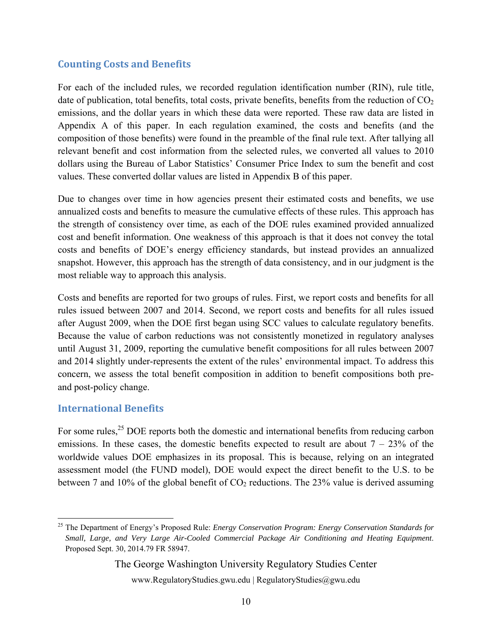#### **Counting Costs and Benefits**

For each of the included rules, we recorded regulation identification number (RIN), rule title, date of publication, total benefits, total costs, private benefits, benefits from the reduction of  $CO<sub>2</sub>$ emissions, and the dollar years in which these data were reported. These raw data are listed in Appendix A of this paper. In each regulation examined, the costs and benefits (and the composition of those benefits) were found in the preamble of the final rule text. After tallying all relevant benefit and cost information from the selected rules, we converted all values to 2010 dollars using the Bureau of Labor Statistics' Consumer Price Index to sum the benefit and cost values. These converted dollar values are listed in Appendix B of this paper.

Due to changes over time in how agencies present their estimated costs and benefits, we use annualized costs and benefits to measure the cumulative effects of these rules. This approach has the strength of consistency over time, as each of the DOE rules examined provided annualized cost and benefit information. One weakness of this approach is that it does not convey the total costs and benefits of DOE's energy efficiency standards, but instead provides an annualized snapshot. However, this approach has the strength of data consistency, and in our judgment is the most reliable way to approach this analysis.

Costs and benefits are reported for two groups of rules. First, we report costs and benefits for all rules issued between 2007 and 2014. Second, we report costs and benefits for all rules issued after August 2009, when the DOE first began using SCC values to calculate regulatory benefits. Because the value of carbon reductions was not consistently monetized in regulatory analyses until August 31, 2009, reporting the cumulative benefit compositions for all rules between 2007 and 2014 slightly under-represents the extent of the rules' environmental impact. To address this concern, we assess the total benefit composition in addition to benefit compositions both preand post-policy change.

#### **International Benefits**

 $\overline{a}$ 

For some rules,<sup>25</sup> DOE reports both the domestic and international benefits from reducing carbon emissions. In these cases, the domestic benefits expected to result are about  $7 - 23\%$  of the worldwide values DOE emphasizes in its proposal. This is because, relying on an integrated assessment model (the FUND model), DOE would expect the direct benefit to the U.S. to be between 7 and 10% of the global benefit of  $CO<sub>2</sub>$  reductions. The 23% value is derived assuming

#### The George Washington University Regulatory Studies Center

<sup>25</sup> The Department of Energy's Proposed Rule: *Energy Conservation Program: Energy Conservation Standards for Small, Large, and Very Large Air-Cooled Commercial Package Air Conditioning and Heating Equipment*. Proposed Sept. 30, 2014.79 FR 58947.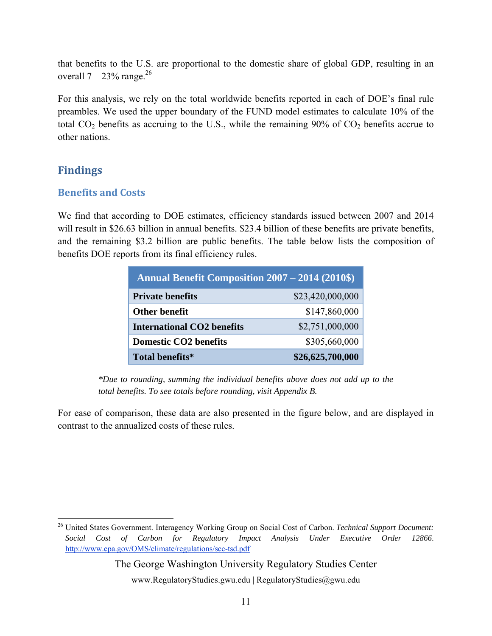that benefits to the U.S. are proportional to the domestic share of global GDP, resulting in an overall  $7 - 23\%$  range.<sup>26</sup>

For this analysis, we rely on the total worldwide benefits reported in each of DOE's final rule preambles. We used the upper boundary of the FUND model estimates to calculate 10% of the total  $CO<sub>2</sub>$  benefits as accruing to the U.S., while the remaining 90% of  $CO<sub>2</sub>$  benefits accrue to other nations.

#### **Findings**

 $\overline{a}$ 

#### **Benefits and Costs**

We find that according to DOE estimates, efficiency standards issued between 2007 and 2014 will result in \$26.63 billion in annual benefits. \$23.4 billion of these benefits are private benefits, and the remaining \$3.2 billion are public benefits. The table below lists the composition of benefits DOE reports from its final efficiency rules.

| <b>Annual Benefit Composition 2007 – 2014 (2010\$)</b> |                  |  |  |  |
|--------------------------------------------------------|------------------|--|--|--|
| <b>Private benefits</b>                                | \$23,420,000,000 |  |  |  |
| <b>Other benefit</b>                                   | \$147,860,000    |  |  |  |
| <b>International CO2 benefits</b>                      | \$2,751,000,000  |  |  |  |
| <b>Domestic CO2 benefits</b>                           | \$305,660,000    |  |  |  |
| Total benefits*                                        | \$26,625,700,000 |  |  |  |

*\*Due to rounding, summing the individual benefits above does not add up to the total benefits. To see totals before rounding, visit Appendix B.*

For ease of comparison, these data are also presented in the figure below, and are displayed in contrast to the annualized costs of these rules.

#### The George Washington University Regulatory Studies Center

<sup>26</sup> United States Government. Interagency Working Group on Social Cost of Carbon. *Technical Support Document: Social Cost of Carbon for Regulatory Impact Analysis Under Executive Order 12866*. http://www.epa.gov/OMS/climate/regulations/scc-tsd.pdf

www.RegulatoryStudies.gwu.edu | RegulatoryStudies@gwu.edu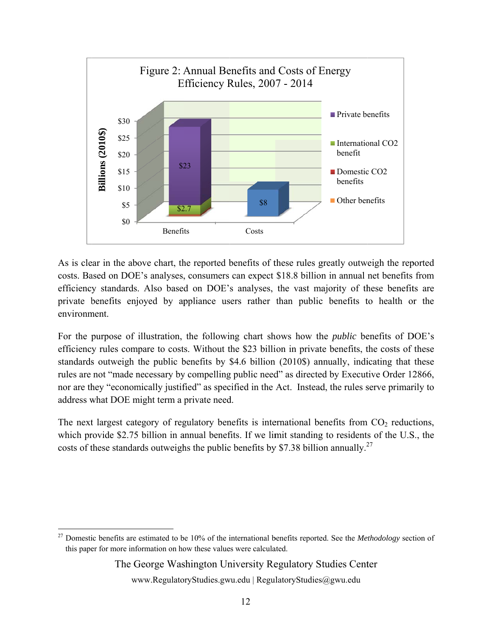

As is clear in the above chart, the reported benefits of these rules greatly outweigh the reported costs. Based on DOE's analyses, consumers can expect \$18.8 billion in annual net benefits from efficiency standards. Also based on DOE's analyses, the vast majority of these benefits are private benefits enjoyed by appliance users rather than public benefits to health or the environm ment.

For the purpose of illustration, the following chart shows how the *public* benefits of DOE's efficiency rules compare to costs. Without the \$23 billion in private benefits, the costs of these standards outweigh the public benefits by \$4.6 billion (2010\$) annually, indicating that these rules are not "made necessary by compelling public need" as directed by Executive Order 12866, nor are they "economically justified" as specified in the Act. Instead, the rules serve primarily to address what DOE might term a private need.

The next largest category of regulatory benefits is international benefits from  $CO<sub>2</sub>$  reductions, which provide \$2.75 billion in annual benefits. If we limit standing to residents of the U.S., the costs of these standards outweighs the public benefits by \$7.38 billion annually.<sup>27</sup>

 $\overline{a}$ 

 $\overline{\phantom{a}}$ 

 $\overline{a}$ 

#### The George Washington University Regulatory Studies Center

<sup>&</sup>lt;sup>27</sup> Domestic benefits are estimated to be 10% of the international benefits reported. See the *Methodology* section of this paper for more information on how these values were calculated.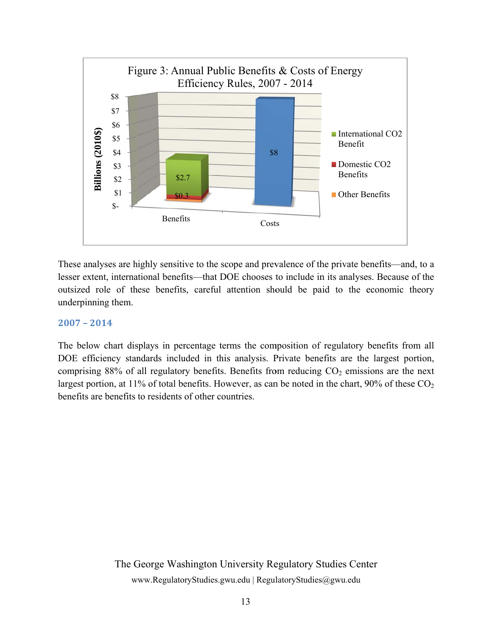

These analyses are highly sensitive to the scope and prevalence of the private benefits—and, to a lesser extent, international benefits—that DOE chooses to include in its analyses. Because of the outsized role of these benefits, careful attention should be paid to the economic theory underpinning them.

#### **2007 – 2 2014**

The below chart displays in percentage terms the composition of regulatory benefits from all DOE efficiency standards included in this analysis. Private benefits are the largest portion, comprising 88% of all regulatory benefits. Benefits from reducing  $CO<sub>2</sub>$  emissions are the next largest portion, at 11% of total benefits. However, as can be noted in the chart, 90% of these  $CO_2$ benefits are benefits to residents of other countries.

> The George Washington University Regulatory Studies Center www.RegulatoryStudies.gwu.edu | RegulatoryStudies@gwu.edu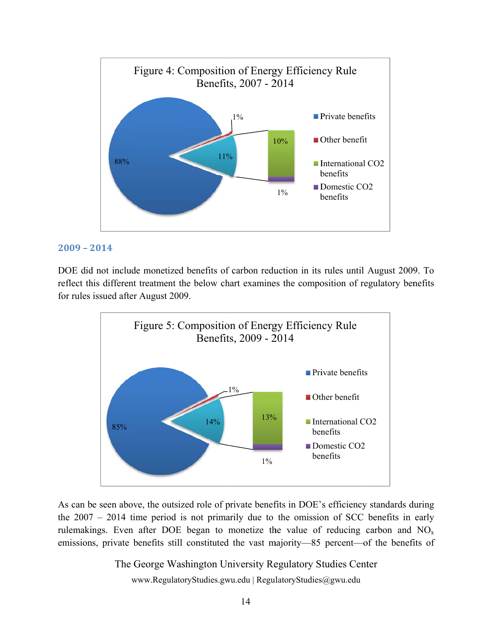

#### **2009 – 2 2014**

DOE did not include monetized benefits of carbon reduction in its rules until August 2009. To reflect this different treatment the below chart examines the composition of regulatory benefits for rules issued after August 200 9.



As can be seen above, the outsized role of private benefits in DOE's efficiency standards during the  $2007 - 2014$  time period is not primarily due to the omission of SCC benefits in early rulemakings. Even after DOE began to monetize the value of reducing carbon and  $NO<sub>x</sub>$ emissions, private benefits still constituted the vast majority—85 percent—of the benefits of

The George Washington University Regulatory Studies Center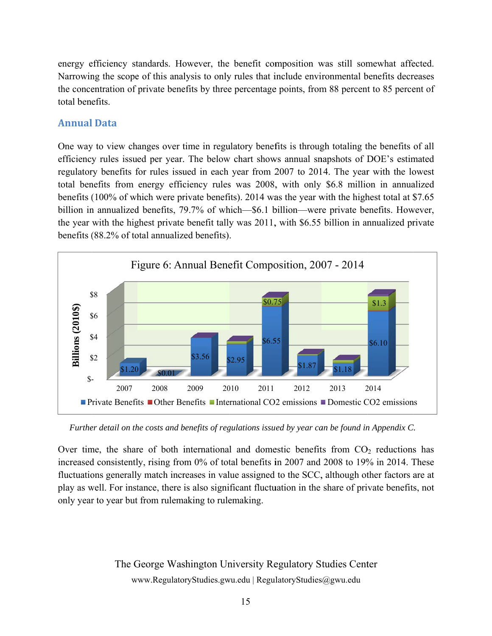energy efficiency standards. However, the benefit composition was still somewhat affected. Narrowing the scope of this analysis to only rules that include environmental benefits decreases the concentration of private benefits by three percentage points, from 88 percent to 85 percent of total benefits.

#### **Annual l Data**

One way to view changes over time in regulatory benefits is through totaling the benefits of all efficiency rules issued per year. The below chart shows annual snapshots of DOE's estimated regulatory benefits for rules issued in each year from 2007 to 2014. The year with the lowest total benefits from energy efficiency rules was 2008, with only \$6.8 million in annualized benefits (100% of which were private benefits). 2014 was the year with the highest total at \$7.65 billion in annualized benefits, 79.7% of which—\$6.1 billion—were private benefits. However, the year with the highest private benefit tally was 2011, with \$6.55 billion in annualized private benefits (88.2% of total annualized benefits).



*Further detail on the costs and benefits of regulations issued by year can be found in Appendix C.* 

Over time, the share of both international and domestic benefits from  $CO<sub>2</sub>$  reductions has increased consistently, rising from 0% of total benefits in 2007 and 2008 to 19% in 2014. These fluctuations generally match increases in value assigned to the SCC, although other factors are at play as well. For instance, there is also significant fluctuation in the share of private benefits, not only year to year but from rulemaking to rulemaking.

> The George Washington University Regulatory Studies Center www.RegulatoryStudies.gwu.edu | RegulatoryStudies@gwu.edu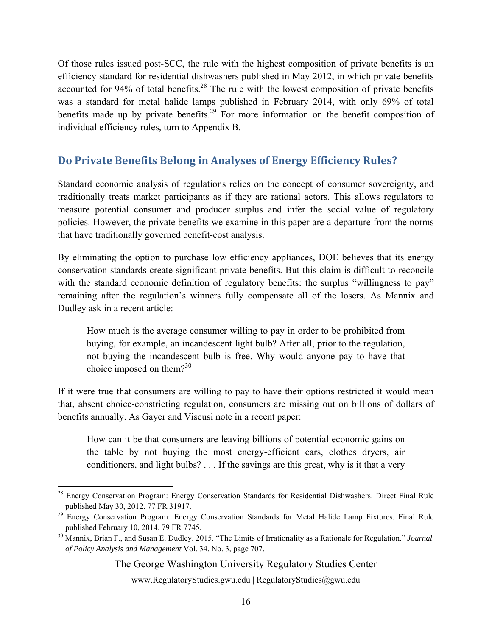Of those rules issued post-SCC, the rule with the highest composition of private benefits is an efficiency standard for residential dishwashers published in May 2012, in which private benefits accounted for 94% of total benefits.<sup>28</sup> The rule with the lowest composition of private benefits was a standard for metal halide lamps published in February 2014, with only 69% of total benefits made up by private benefits.<sup>29</sup> For more information on the benefit composition of individual efficiency rules, turn to Appendix B.

#### **Do Private Benefits Belong in Analyses of Energy Efficiency Rules?**

Standard economic analysis of regulations relies on the concept of consumer sovereignty, and traditionally treats market participants as if they are rational actors. This allows regulators to measure potential consumer and producer surplus and infer the social value of regulatory policies. However, the private benefits we examine in this paper are a departure from the norms that have traditionally governed benefit-cost analysis.

By eliminating the option to purchase low efficiency appliances, DOE believes that its energy conservation standards create significant private benefits. But this claim is difficult to reconcile with the standard economic definition of regulatory benefits: the surplus "willingness to pay" remaining after the regulation's winners fully compensate all of the losers. As Mannix and Dudley ask in a recent article:

How much is the average consumer willing to pay in order to be prohibited from buying, for example, an incandescent light bulb? After all, prior to the regulation, not buying the incandescent bulb is free. Why would anyone pay to have that choice imposed on them? $3^{30}$ 

If it were true that consumers are willing to pay to have their options restricted it would mean that, absent choice-constricting regulation, consumers are missing out on billions of dollars of benefits annually. As Gayer and Viscusi note in a recent paper:

How can it be that consumers are leaving billions of potential economic gains on the table by not buying the most energy-efficient cars, clothes dryers, air conditioners, and light bulbs? . . . If the savings are this great, why is it that a very

 $\overline{a}$ 

The George Washington University Regulatory Studies Center

<sup>&</sup>lt;sup>28</sup> Energy Conservation Program: Energy Conservation Standards for Residential Dishwashers. Direct Final Rule published May 30, 2012. 77 FR 31917. 29 Energy Conservation Program: Energy Conservation Standards for Metal Halide Lamp Fixtures. Final Rule

published February 10, 2014. 79 FR 7745. 30 Mannix, Brian F., and Susan E. Dudley. 2015. "The Limits of Irrationality as a Rationale for Regulation." *Journal* 

*of Policy Analysis and Management* Vol. 34, No. 3, page 707.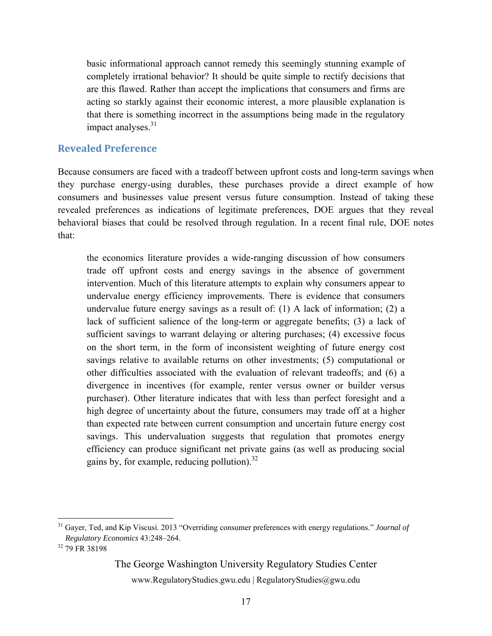basic informational approach cannot remedy this seemingly stunning example of completely irrational behavior? It should be quite simple to rectify decisions that are this flawed. Rather than accept the implications that consumers and firms are acting so starkly against their economic interest, a more plausible explanation is that there is something incorrect in the assumptions being made in the regulatory impact analyses. $31$ 

#### **Revealed Preference**

Because consumers are faced with a tradeoff between upfront costs and long-term savings when they purchase energy-using durables, these purchases provide a direct example of how consumers and businesses value present versus future consumption. Instead of taking these revealed preferences as indications of legitimate preferences, DOE argues that they reveal behavioral biases that could be resolved through regulation. In a recent final rule, DOE notes that:

the economics literature provides a wide-ranging discussion of how consumers trade off upfront costs and energy savings in the absence of government intervention. Much of this literature attempts to explain why consumers appear to undervalue energy efficiency improvements. There is evidence that consumers undervalue future energy savings as a result of: (1) A lack of information; (2) a lack of sufficient salience of the long-term or aggregate benefits; (3) a lack of sufficient savings to warrant delaying or altering purchases; (4) excessive focus on the short term, in the form of inconsistent weighting of future energy cost savings relative to available returns on other investments; (5) computational or other difficulties associated with the evaluation of relevant tradeoffs; and (6) a divergence in incentives (for example, renter versus owner or builder versus purchaser). Other literature indicates that with less than perfect foresight and a high degree of uncertainty about the future, consumers may trade off at a higher than expected rate between current consumption and uncertain future energy cost savings. This undervaluation suggests that regulation that promotes energy efficiency can produce significant net private gains (as well as producing social gains by, for example, reducing pollution). $32$ 

 $\overline{a}$ 

The George Washington University Regulatory Studies Center

<sup>31</sup> Gayer, Ted, and Kip Viscusi. 2013 "Overriding consumer preferences with energy regulations." *Journal of Regulatory Economics* 43:248–264. 32 79 FR 38198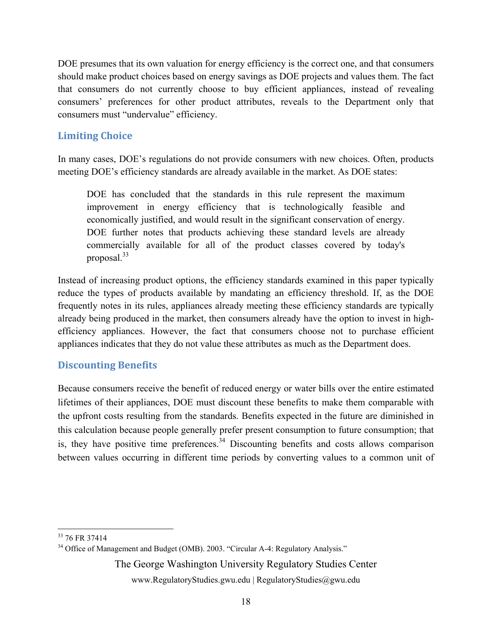DOE presumes that its own valuation for energy efficiency is the correct one, and that consumers should make product choices based on energy savings as DOE projects and values them. The fact that consumers do not currently choose to buy efficient appliances, instead of revealing consumers' preferences for other product attributes, reveals to the Department only that consumers must "undervalue" efficiency.

#### **Limiting Choice**

In many cases, DOE's regulations do not provide consumers with new choices. Often, products meeting DOE's efficiency standards are already available in the market. As DOE states:

DOE has concluded that the standards in this rule represent the maximum improvement in energy efficiency that is technologically feasible and economically justified, and would result in the significant conservation of energy. DOE further notes that products achieving these standard levels are already commercially available for all of the product classes covered by today's proposal.33

Instead of increasing product options, the efficiency standards examined in this paper typically reduce the types of products available by mandating an efficiency threshold. If, as the DOE frequently notes in its rules, appliances already meeting these efficiency standards are typically already being produced in the market, then consumers already have the option to invest in highefficiency appliances. However, the fact that consumers choose not to purchase efficient appliances indicates that they do not value these attributes as much as the Department does.

#### **Discounting Benefits**

Because consumers receive the benefit of reduced energy or water bills over the entire estimated lifetimes of their appliances, DOE must discount these benefits to make them comparable with the upfront costs resulting from the standards. Benefits expected in the future are diminished in this calculation because people generally prefer present consumption to future consumption; that is, they have positive time preferences.<sup>34</sup> Discounting benefits and costs allows comparison between values occurring in different time periods by converting values to a common unit of

The George Washington University Regulatory Studies Center

 $\overline{a}$ <sup>33</sup> 76 FR 37414

<sup>&</sup>lt;sup>34</sup> Office of Management and Budget (OMB). 2003. "Circular A-4: Regulatory Analysis."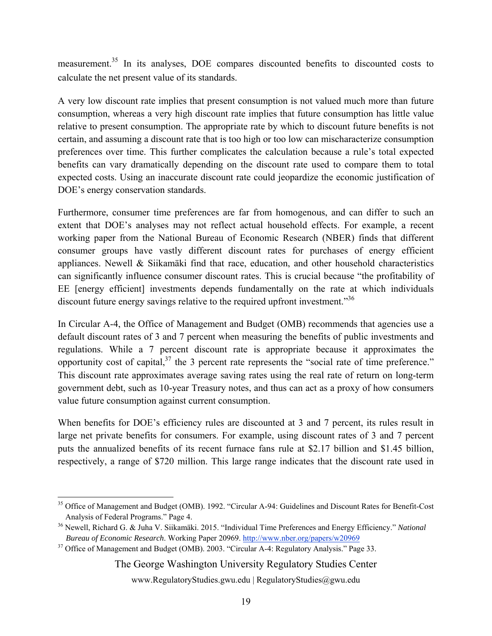measurement.<sup>35</sup> In its analyses, DOE compares discounted benefits to discounted costs to calculate the net present value of its standards.

A very low discount rate implies that present consumption is not valued much more than future consumption, whereas a very high discount rate implies that future consumption has little value relative to present consumption. The appropriate rate by which to discount future benefits is not certain, and assuming a discount rate that is too high or too low can mischaracterize consumption preferences over time. This further complicates the calculation because a rule's total expected benefits can vary dramatically depending on the discount rate used to compare them to total expected costs. Using an inaccurate discount rate could jeopardize the economic justification of DOE's energy conservation standards.

Furthermore, consumer time preferences are far from homogenous, and can differ to such an extent that DOE's analyses may not reflect actual household effects. For example, a recent working paper from the National Bureau of Economic Research (NBER) finds that different consumer groups have vastly different discount rates for purchases of energy efficient appliances. Newell & Siikamäki find that race, education, and other household characteristics can significantly influence consumer discount rates. This is crucial because "the profitability of EE [energy efficient] investments depends fundamentally on the rate at which individuals discount future energy savings relative to the required upfront investment."<sup>36</sup>

In Circular A-4, the Office of Management and Budget (OMB) recommends that agencies use a default discount rates of 3 and 7 percent when measuring the benefits of public investments and regulations. While a 7 percent discount rate is appropriate because it approximates the opportunity cost of capital,  $3^7$  the 3 percent rate represents the "social rate of time preference." This discount rate approximates average saving rates using the real rate of return on long-term government debt, such as 10-year Treasury notes, and thus can act as a proxy of how consumers value future consumption against current consumption.

When benefits for DOE's efficiency rules are discounted at 3 and 7 percent, its rules result in large net private benefits for consumers. For example, using discount rates of 3 and 7 percent puts the annualized benefits of its recent furnace fans rule at \$2.17 billion and \$1.45 billion, respectively, a range of \$720 million. This large range indicates that the discount rate used in

The George Washington University Regulatory Studies Center

 $\overline{a}$ <sup>35</sup> Office of Management and Budget (OMB). 1992. "Circular A-94: Guidelines and Discount Rates for Benefit-Cost Analysis of Federal Programs." Page 4.<br><sup>36</sup> Newell, Richard G. & Juha V. Siikamäki. 2015. "Individual Time Preferences and Energy Efficiency." *National* 

*Bureau of Economic Research*. Working Paper 20969. http://www.nber.org/papers/w20969<br><sup>37</sup> Office of Management and Budget (OMB). 2003. "Circular A-4: Regulatory Analysis." Page 33.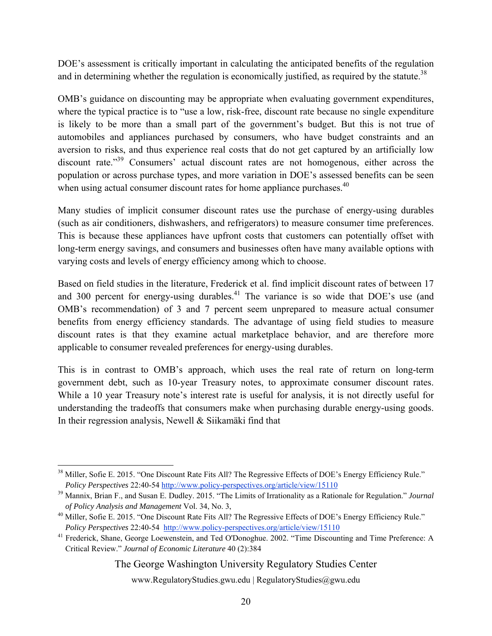DOE's assessment is critically important in calculating the anticipated benefits of the regulation and in determining whether the regulation is economically justified, as required by the statute.<sup>38</sup>

OMB's guidance on discounting may be appropriate when evaluating government expenditures, where the typical practice is to "use a low, risk-free, discount rate because no single expenditure is likely to be more than a small part of the government's budget. But this is not true of automobiles and appliances purchased by consumers, who have budget constraints and an aversion to risks, and thus experience real costs that do not get captured by an artificially low discount rate."<sup>39</sup> Consumers' actual discount rates are not homogenous, either across the population or across purchase types, and more variation in DOE's assessed benefits can be seen when using actual consumer discount rates for home appliance purchases.<sup>40</sup>

Many studies of implicit consumer discount rates use the purchase of energy-using durables (such as air conditioners, dishwashers, and refrigerators) to measure consumer time preferences. This is because these appliances have upfront costs that customers can potentially offset with long-term energy savings, and consumers and businesses often have many available options with varying costs and levels of energy efficiency among which to choose.

Based on field studies in the literature, Frederick et al. find implicit discount rates of between 17 and 300 percent for energy-using durables. $41$  The variance is so wide that DOE's use (and OMB's recommendation) of 3 and 7 percent seem unprepared to measure actual consumer benefits from energy efficiency standards. The advantage of using field studies to measure discount rates is that they examine actual marketplace behavior, and are therefore more applicable to consumer revealed preferences for energy-using durables.

This is in contrast to OMB's approach, which uses the real rate of return on long-term government debt, such as 10-year Treasury notes, to approximate consumer discount rates. While a 10 year Treasury note's interest rate is useful for analysis, it is not directly useful for understanding the tradeoffs that consumers make when purchasing durable energy-using goods. In their regression analysis, Newell & Siikamäki find that

#### The George Washington University Regulatory Studies Center

 $\overline{a}$ <sup>38</sup> Miller, Sofie E. 2015. "One Discount Rate Fits All? The Regressive Effects of DOE's Energy Efficiency Rule." *Policy Perspectives* 22:40-54 http://www.policy-perspectives.org/article/view/15110<br><sup>39</sup> Mannix, Brian F., and Susan E. Dudley. 2015. "The Limits of Irrationality as a Rationale for Regulation." *Journal* 

*of Policy Analysis and Management* Vol. 34, No. 3,<br><sup>40</sup> Miller, Sofie E. 2015. "One Discount Rate Fits All? The Regressive Effects of DOE's Energy Efficiency Rule."

*Policy Perspectives* 22:40-54 http://www.policy-perspectives.org/article/view/15110<br><sup>41</sup> Frederick, Shane, George Loewenstein, and Ted O'Donoghue. 2002. "Time Discounting and Time Preference: A

Critical Review." *Journal of Economic Literature* 40 (2):384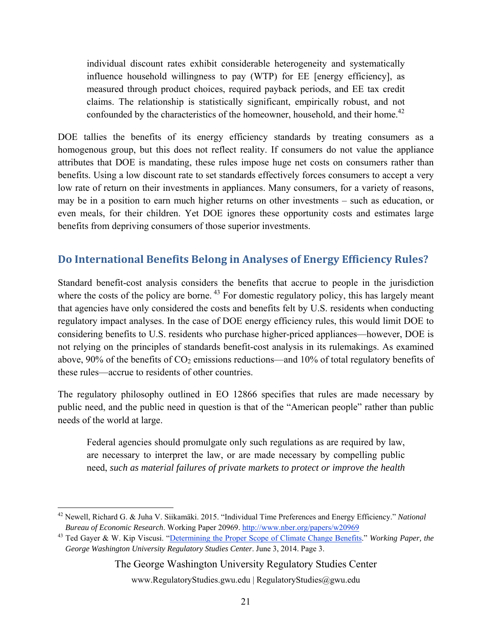individual discount rates exhibit considerable heterogeneity and systematically influence household willingness to pay (WTP) for EE [energy efficiency], as measured through product choices, required payback periods, and EE tax credit claims. The relationship is statistically significant, empirically robust, and not confounded by the characteristics of the homeowner, household, and their home.<sup>42</sup>

DOE tallies the benefits of its energy efficiency standards by treating consumers as a homogenous group, but this does not reflect reality. If consumers do not value the appliance attributes that DOE is mandating, these rules impose huge net costs on consumers rather than benefits. Using a low discount rate to set standards effectively forces consumers to accept a very low rate of return on their investments in appliances. Many consumers, for a variety of reasons, may be in a position to earn much higher returns on other investments – such as education, or even meals, for their children. Yet DOE ignores these opportunity costs and estimates large benefits from depriving consumers of those superior investments.

#### **Do International Benefits Belong in Analyses of Energy Efficiency Rules?**

Standard benefit-cost analysis considers the benefits that accrue to people in the jurisdiction where the costs of the policy are borne.<sup>43</sup> For domestic regulatory policy, this has largely meant that agencies have only considered the costs and benefits felt by U.S. residents when conducting regulatory impact analyses. In the case of DOE energy efficiency rules, this would limit DOE to considering benefits to U.S. residents who purchase higher-priced appliances—however, DOE is not relying on the principles of standards benefit-cost analysis in its rulemakings. As examined above,  $90\%$  of the benefits of  $CO<sub>2</sub>$  emissions reductions—and 10% of total regulatory benefits of these rules—accrue to residents of other countries.

The regulatory philosophy outlined in EO 12866 specifies that rules are made necessary by public need, and the public need in question is that of the "American people" rather than public needs of the world at large.

Federal agencies should promulgate only such regulations as are required by law, are necessary to interpret the law, or are made necessary by compelling public need, *such as material failures of private markets to protect or improve the health* 

The George Washington University Regulatory Studies Center

 $\overline{a}$ 42 Newell, Richard G. & Juha V. Siikamӓki. 2015. "Individual Time Preferences and Energy Efficiency." *National Bureau of Economic Research*. Working Paper 20969. http://www.nber.org/papers/w20969

<sup>43</sup> Ted Gayer & W. Kip Viscusi. "Determining the Proper Scope of Climate Change Benefits." *Working Paper, the George Washington University Regulatory Studies Center*. June 3, 2014. Page 3.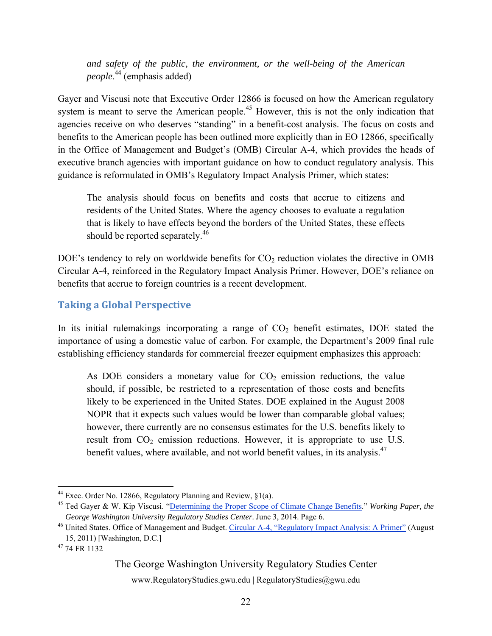*and safety of the public, the environment, or the well-being of the American people*. 44 (emphasis added)

Gayer and Viscusi note that Executive Order 12866 is focused on how the American regulatory system is meant to serve the American people.<sup>45</sup> However, this is not the only indication that agencies receive on who deserves "standing" in a benefit-cost analysis. The focus on costs and benefits to the American people has been outlined more explicitly than in EO 12866, specifically in the Office of Management and Budget's (OMB) Circular A-4, which provides the heads of executive branch agencies with important guidance on how to conduct regulatory analysis. This guidance is reformulated in OMB's Regulatory Impact Analysis Primer, which states:

The analysis should focus on benefits and costs that accrue to citizens and residents of the United States. Where the agency chooses to evaluate a regulation that is likely to have effects beyond the borders of the United States, these effects should be reported separately.<sup>46</sup>

DOE's tendency to rely on worldwide benefits for  $CO<sub>2</sub>$  reduction violates the directive in OMB Circular A-4, reinforced in the Regulatory Impact Analysis Primer. However, DOE's reliance on benefits that accrue to foreign countries is a recent development.

#### **Taking a Global Perspective**

In its initial rulemakings incorporating a range of  $CO<sub>2</sub>$  benefit estimates, DOE stated the importance of using a domestic value of carbon. For example, the Department's 2009 final rule establishing efficiency standards for commercial freezer equipment emphasizes this approach:

As DOE considers a monetary value for  $CO<sub>2</sub>$  emission reductions, the value should, if possible, be restricted to a representation of those costs and benefits likely to be experienced in the United States. DOE explained in the August 2008 NOPR that it expects such values would be lower than comparable global values; however, there currently are no consensus estimates for the U.S. benefits likely to result from  $CO<sub>2</sub>$  emission reductions. However, it is appropriate to use U.S. benefit values, where available, and not world benefit values, in its analysis.<sup>47</sup>

#### The George Washington University Regulatory Studies Center

 $\overline{a}$ <sup>44</sup> Exec. Order No. 12866, Regulatory Planning and Review,  $\S1(a)$ .

<sup>45</sup> Ted Gayer & W. Kip Viscusi. "Determining the Proper Scope of Climate Change Benefits." *Working Paper, the George Washington University Regulatory Studies Center.* June 3, 2014. Page 6.<br><sup>46</sup> United States. Office of Management and Budget. Circular A-4, "Regulatory Impact Analysis: A Primer" (August

<sup>15, 2011)</sup> [Washington, D.C.] 47 74 FR 1132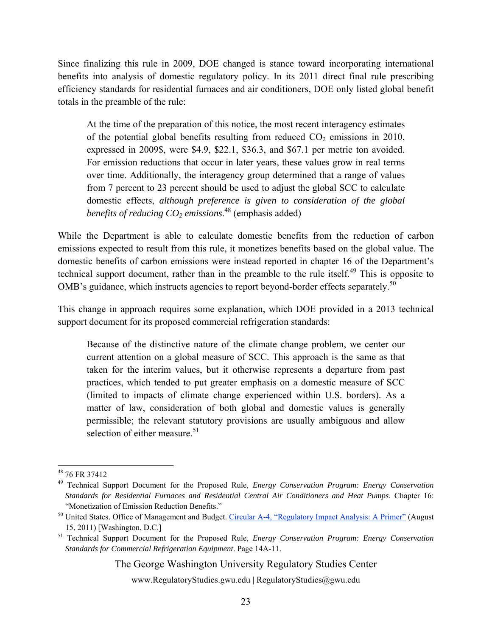Since finalizing this rule in 2009, DOE changed is stance toward incorporating international benefits into analysis of domestic regulatory policy. In its 2011 direct final rule prescribing efficiency standards for residential furnaces and air conditioners, DOE only listed global benefit totals in the preamble of the rule:

At the time of the preparation of this notice, the most recent interagency estimates of the potential global benefits resulting from reduced  $CO<sub>2</sub>$  emissions in 2010, expressed in 2009\$, were \$4.9, \$22.1, \$36.3, and \$67.1 per metric ton avoided. For emission reductions that occur in later years, these values grow in real terms over time. Additionally, the interagency group determined that a range of values from 7 percent to 23 percent should be used to adjust the global SCC to calculate domestic effects, *although preference is given to consideration of the global benefits of reducing CO2 emissions*. 48 (emphasis added)

While the Department is able to calculate domestic benefits from the reduction of carbon emissions expected to result from this rule, it monetizes benefits based on the global value. The domestic benefits of carbon emissions were instead reported in chapter 16 of the Department's technical support document, rather than in the preamble to the rule itself.<sup>49</sup> This is opposite to OMB's guidance, which instructs agencies to report beyond-border effects separately.<sup>50</sup>

This change in approach requires some explanation, which DOE provided in a 2013 technical support document for its proposed commercial refrigeration standards:

Because of the distinctive nature of the climate change problem, we center our current attention on a global measure of SCC. This approach is the same as that taken for the interim values, but it otherwise represents a departure from past practices, which tended to put greater emphasis on a domestic measure of SCC (limited to impacts of climate change experienced within U.S. borders). As a matter of law, consideration of both global and domestic values is generally permissible; the relevant statutory provisions are usually ambiguous and allow selection of either measure. $51$ 

The George Washington University Regulatory Studies Center

<sup>1</sup> 48 76 FR 37412

<sup>49</sup> Technical Support Document for the Proposed Rule, *Energy Conservation Program: Energy Conservation Standards for Residential Furnaces and Residential Central Air Conditioners and Heat Pumps*. Chapter 16: "Monetization of Emission Reduction Benefits."<br><sup>50</sup> United States. Office of Management and Budget. Circular A-4, "Regulatory Impact Analysis: A Primer" (August

<sup>15, 2011)</sup> [Washington, D.C.] 51 Technical Support Document for the Proposed Rule, *Energy Conservation Program: Energy Conservation* 

*Standards for Commercial Refrigeration Equipment*. Page 14A-11.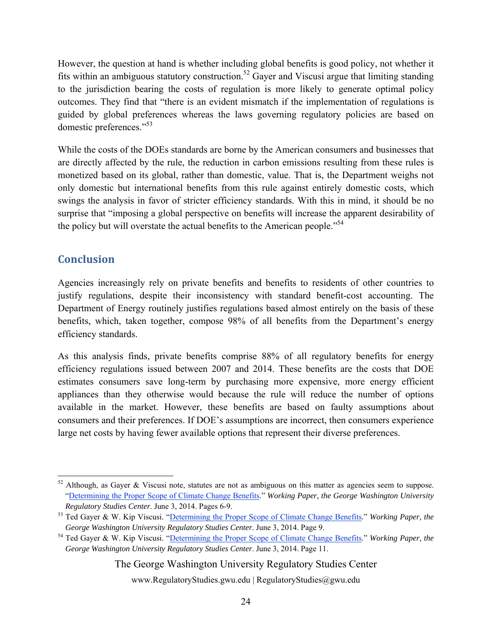However, the question at hand is whether including global benefits is good policy, not whether it fits within an ambiguous statutory construction.<sup>52</sup> Gayer and Viscusi argue that limiting standing to the jurisdiction bearing the costs of regulation is more likely to generate optimal policy outcomes. They find that "there is an evident mismatch if the implementation of regulations is guided by global preferences whereas the laws governing regulatory policies are based on domestic preferences."53

While the costs of the DOEs standards are borne by the American consumers and businesses that are directly affected by the rule, the reduction in carbon emissions resulting from these rules is monetized based on its global, rather than domestic, value. That is, the Department weighs not only domestic but international benefits from this rule against entirely domestic costs, which swings the analysis in favor of stricter efficiency standards. With this in mind, it should be no surprise that "imposing a global perspective on benefits will increase the apparent desirability of the policy but will overstate the actual benefits to the American people."<sup>54</sup>

#### **Conclusion**

 $\overline{a}$ 

Agencies increasingly rely on private benefits and benefits to residents of other countries to justify regulations, despite their inconsistency with standard benefit-cost accounting. The Department of Energy routinely justifies regulations based almost entirely on the basis of these benefits, which, taken together, compose 98% of all benefits from the Department's energy efficiency standards.

As this analysis finds, private benefits comprise 88% of all regulatory benefits for energy efficiency regulations issued between 2007 and 2014. These benefits are the costs that DOE estimates consumers save long-term by purchasing more expensive, more energy efficient appliances than they otherwise would because the rule will reduce the number of options available in the market. However, these benefits are based on faulty assumptions about consumers and their preferences. If DOE's assumptions are incorrect, then consumers experience large net costs by having fewer available options that represent their diverse preferences.

The George Washington University Regulatory Studies Center

<sup>&</sup>lt;sup>52</sup> Although, as Gayer & Viscusi note, statutes are not as ambiguous on this matter as agencies seem to suppose. "Determining the Proper Scope of Climate Change Benefits." *Working Paper, the George Washington University Regulatory Studies Center.* June 3, 2014. Pages 6-9. *53* Ted Gayer & W. Kip Viscusi. "Determining the Proper Scope of Climate Change Benefits." *Working Paper, the* 

*George Washington University Regulatory Studies Center.* June 3, 2014. Page 9.<br><sup>54</sup> Ted Gayer & W. Kip Viscusi. "Determining the Proper Scope of Climate Change Benefits." *Working Paper, the* 

*George Washington University Regulatory Studies Center*. June 3, 2014. Page 11.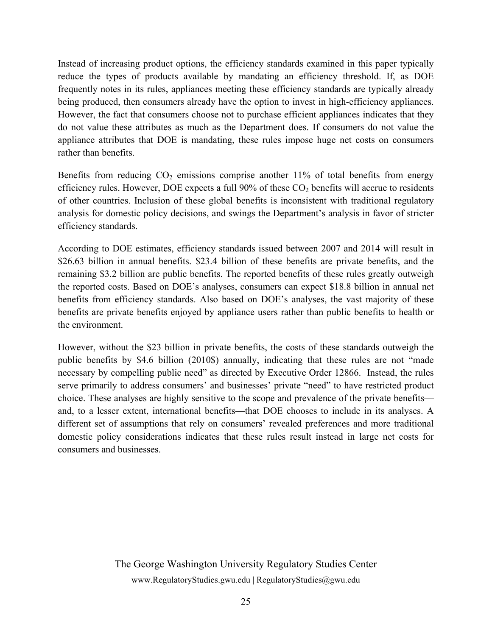Instead of increasing product options, the efficiency standards examined in this paper typically reduce the types of products available by mandating an efficiency threshold. If, as DOE frequently notes in its rules, appliances meeting these efficiency standards are typically already being produced, then consumers already have the option to invest in high-efficiency appliances. However, the fact that consumers choose not to purchase efficient appliances indicates that they do not value these attributes as much as the Department does. If consumers do not value the appliance attributes that DOE is mandating, these rules impose huge net costs on consumers rather than benefits.

Benefits from reducing  $CO<sub>2</sub>$  emissions comprise another 11% of total benefits from energy efficiency rules. However, DOE expects a full  $90\%$  of these  $CO<sub>2</sub>$  benefits will accrue to residents of other countries. Inclusion of these global benefits is inconsistent with traditional regulatory analysis for domestic policy decisions, and swings the Department's analysis in favor of stricter efficiency standards.

According to DOE estimates, efficiency standards issued between 2007 and 2014 will result in \$26.63 billion in annual benefits. \$23.4 billion of these benefits are private benefits, and the remaining \$3.2 billion are public benefits. The reported benefits of these rules greatly outweigh the reported costs. Based on DOE's analyses, consumers can expect \$18.8 billion in annual net benefits from efficiency standards. Also based on DOE's analyses, the vast majority of these benefits are private benefits enjoyed by appliance users rather than public benefits to health or the environment.

However, without the \$23 billion in private benefits, the costs of these standards outweigh the public benefits by \$4.6 billion (2010\$) annually, indicating that these rules are not "made necessary by compelling public need" as directed by Executive Order 12866. Instead, the rules serve primarily to address consumers' and businesses' private "need" to have restricted product choice. These analyses are highly sensitive to the scope and prevalence of the private benefits and, to a lesser extent, international benefits—that DOE chooses to include in its analyses. A different set of assumptions that rely on consumers' revealed preferences and more traditional domestic policy considerations indicates that these rules result instead in large net costs for consumers and businesses.

> The George Washington University Regulatory Studies Center www.RegulatoryStudies.gwu.edu | RegulatoryStudies@gwu.edu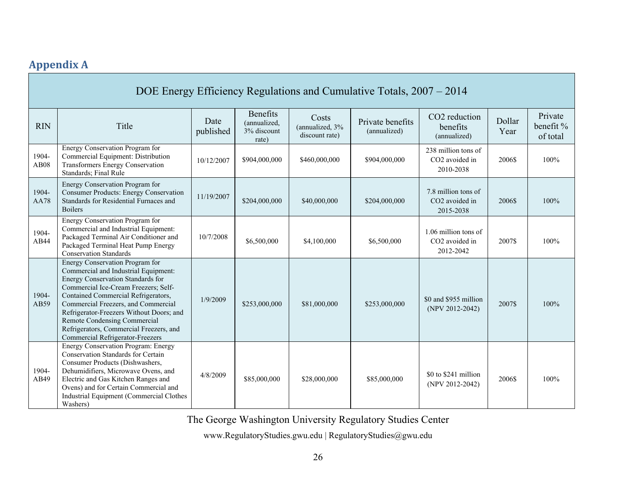# **Appendix A**

|                      | DOE Energy Efficiency Regulations and Cumulative Totals, 2007 – 2014                                                                                                                                                                                                                                                                                                                                 |                   |                                                         |                                            |                                  |                                                                |                |                                  |  |
|----------------------|------------------------------------------------------------------------------------------------------------------------------------------------------------------------------------------------------------------------------------------------------------------------------------------------------------------------------------------------------------------------------------------------------|-------------------|---------------------------------------------------------|--------------------------------------------|----------------------------------|----------------------------------------------------------------|----------------|----------------------------------|--|
| <b>RIN</b>           | Title                                                                                                                                                                                                                                                                                                                                                                                                | Date<br>published | <b>Benefits</b><br>(annualized,<br>3% discount<br>rate) | Costs<br>(annualized, 3%<br>discount rate) | Private benefits<br>(annualized) | CO <sub>2</sub> reduction<br>benefits<br>(annualized)          | Dollar<br>Year | Private<br>benefit %<br>of total |  |
| 1904-<br><b>AB08</b> | Energy Conservation Program for<br>Commercial Equipment: Distribution<br>Transformers Energy Conservation<br>Standards; Final Rule                                                                                                                                                                                                                                                                   | 10/12/2007        | \$904,000,000                                           | \$460,000,000                              | \$904,000,000                    | 238 million tons of<br>CO <sub>2</sub> avoided in<br>2010-2038 | 2006\$         | 100%                             |  |
| 1904-<br><b>AA78</b> | Energy Conservation Program for<br><b>Consumer Products: Energy Conservation</b><br>Standards for Residential Furnaces and<br><b>Boilers</b>                                                                                                                                                                                                                                                         | 11/19/2007        | \$204,000,000                                           | \$40,000,000                               | \$204,000,000                    | 7.8 million tons of<br>CO <sub>2</sub> avoided in<br>2015-2038 | 2006\$         | 100%                             |  |
| 1904-<br>AB44        | Energy Conservation Program for<br>Commercial and Industrial Equipment:<br>Packaged Terminal Air Conditioner and<br>Packaged Terminal Heat Pump Energy<br><b>Conservation Standards</b>                                                                                                                                                                                                              | 10/7/2008         | \$6,500,000                                             | \$4,100,000                                | \$6,500,000                      | 1.06 million tons of<br>CO2 avoided in<br>2012-2042            | 2007\$         | 100%                             |  |
| 1904-<br>AB59        | Energy Conservation Program for<br>Commercial and Industrial Equipment:<br>Energy Conservation Standards for<br>Commercial Ice-Cream Freezers; Self-<br>Contained Commercial Refrigerators,<br>Commercial Freezers, and Commercial<br>Refrigerator-Freezers Without Doors; and<br>Remote Condensing Commercial<br>Refrigerators, Commercial Freezers, and<br><b>Commercial Refrigerator-Freezers</b> | 1/9/2009          | \$253,000,000                                           | \$81,000,000                               | \$253,000,000                    | \$0 and \$955 million<br>(NPV 2012-2042)                       | 2007\$         | 100%                             |  |
| 1904-<br>AB49        | Energy Conservation Program: Energy<br>Conservation Standards for Certain<br>Consumer Products (Dishwashers,<br>Dehumidifiers, Microwave Ovens, and<br>Electric and Gas Kitchen Ranges and<br>Ovens) and for Certain Commercial and<br>Industrial Equipment (Commercial Clothes<br>Washers)                                                                                                          | 4/8/2009          | \$85,000,000                                            | \$28,000,000                               | \$85,000,000                     | \$0 to \$241 million<br>(NPV 2012-2042)                        | 2006\$         | 100%                             |  |

The George Washington University Regulatory Studies Center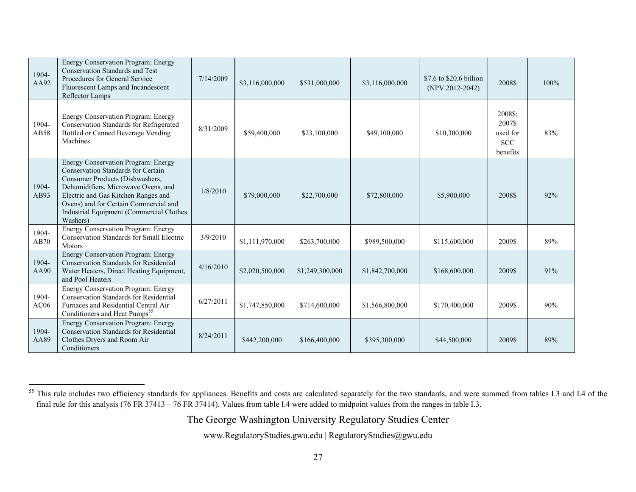| 1904-<br>AA92             | Energy Conservation Program: Energy<br><b>Conservation Standards and Test</b><br>Procedures for General Service<br>Fluorescent Lamps and Incandescent<br>Reflector Lamps                                                                                                                                  | 7/14/2009 | \$3,116,000,000 | \$531,000,000   | \$3,116,000,000 | \$7.6 to \$20.6 billion<br>$(NPV 2012-2042)$ | 2008\$                                                  | 100% |
|---------------------------|-----------------------------------------------------------------------------------------------------------------------------------------------------------------------------------------------------------------------------------------------------------------------------------------------------------|-----------|-----------------|-----------------|-----------------|----------------------------------------------|---------------------------------------------------------|------|
| 1904-<br>AB58             | Energy Conservation Program: Energy<br>Conservation Standards for Refrigerated<br>Bottled or Canned Beverage Vending<br>Machines                                                                                                                                                                          |           | \$59,400,000    | \$23,100,000    | \$49,100,000    | \$10,300,000                                 | 2008\$;<br>2007\$<br>used for<br><b>SCC</b><br>benefits | 83%  |
| 1904-<br>AB93             | <b>Energy Conservation Program: Energy</b><br>Conservation Standards for Certain<br>Consumer Products (Dishwashers,<br>Dehumidifiers, Microwave Ovens, and<br>Electric and Gas Kitchen Ranges and<br>Ovens) and for Certain Commercial and<br><b>Industrial Equipment (Commercial Clothes</b><br>Washers) | 1/8/2010  | \$79,000,000    | \$22,700,000    | \$72,800,000    | \$5,900,000                                  | 2008\$                                                  | 92%  |
| 1904-<br>AB70             | <b>Energy Conservation Program: Energy</b><br><b>Conservation Standards for Small Electric</b><br>Motors                                                                                                                                                                                                  | 3/9/2010  | \$1,111,970,000 | \$263,700,000   | \$989,500,000   | \$115,600,000                                | 2009\$                                                  | 89%  |
| 1904-<br>AA90             | <b>Energy Conservation Program: Energy</b><br><b>Conservation Standards for Residential</b><br>Water Heaters, Direct Heating Equipment,<br>and Pool Heaters                                                                                                                                               | 4/16/2010 | \$2,020,500,000 | \$1,249,300,000 | \$1,842,700,000 | \$168,600,000                                | 2009\$                                                  | 91%  |
| 1904-<br>AC <sub>06</sub> | Energy Conservation Program: Energy<br><b>Conservation Standards for Residential</b><br>Furnaces and Residential Central Air<br>Conditioners and Heat Pumps <sup>55</sup>                                                                                                                                 | 6/27/2011 | \$1,747,850,000 | \$714,600,000   | \$1,566,800,000 | \$170,400,000                                | 2009\$                                                  | 90%  |
| 1904-<br>AA89             | <b>Energy Conservation Program: Energy</b><br><b>Conservation Standards for Residential</b><br>Clothes Dryers and Room Air<br>Conditioners                                                                                                                                                                | 8/24/2011 | \$442,200,000   | \$166,400,000   | \$395,300,000   | \$44,500,000                                 | 2009\$                                                  | 89%  |

The George Washington University Regulatory Studies Center

<sup>&</sup>lt;sup>55</sup> This rule includes two efficiency standards for appliances. Benefits and costs are calculated separately for the two standards, and were summed from tables I.3 and I.4 of the final rule for this analysis (76 FR 37413 – 76 FR 37414). Values from table I.4 were added to midpoint values from the ranges in table I.3.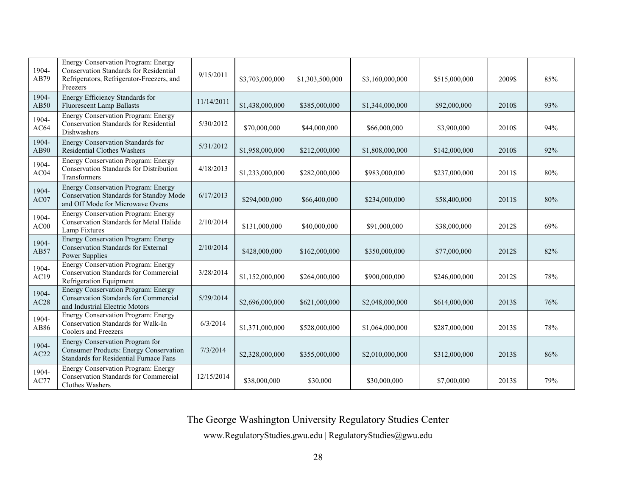| 1904-<br>AB79        | Energy Conservation Program: Energy<br><b>Conservation Standards for Residential</b><br>Refrigerators, Refrigerator-Freezers, and<br>Freezers | 9/15/2011  | \$3,703,000,000 | \$1,303,500,000 | \$3,160,000,000 | \$515,000,000 | 2009\$ | 85% |
|----------------------|-----------------------------------------------------------------------------------------------------------------------------------------------|------------|-----------------|-----------------|-----------------|---------------|--------|-----|
| 1904-<br><b>AB50</b> | Energy Efficiency Standards for<br><b>Fluorescent Lamp Ballasts</b>                                                                           | 11/14/2011 | \$1,438,000,000 | \$385,000,000   | \$1,344,000,000 | \$92,000,000  | 2010\$ | 93% |
| 1904-<br>AC64        | <b>Energy Conservation Program: Energy</b><br>Conservation Standards for Residential<br><b>Dishwashers</b>                                    | 5/30/2012  | \$70,000,000    | \$44,000,000    | \$66,000,000    | \$3,900,000   | 2010\$ | 94% |
| 1904-<br>AB90        | Energy Conservation Standards for<br><b>Residential Clothes Washers</b>                                                                       | 5/31/2012  | \$1,958,000,000 | \$212,000,000   | \$1,808,000,000 | \$142,000,000 | 2010\$ | 92% |
| 1904-<br>AC04        | Energy Conservation Program: Energy<br>Conservation Standards for Distribution<br>Transformers                                                | 4/18/2013  | \$1,233,000,000 | \$282,000,000   | \$983,000,000   | \$237,000,000 | 2011\$ | 80% |
| 1904-<br>AC07        | Energy Conservation Program: Energy<br>Conservation Standards for Standby Mode<br>and Off Mode for Microwave Ovens                            | 6/17/2013  | \$294,000,000   | \$66,400,000    | \$234,000,000   | \$58,400,000  | 2011\$ | 80% |
| 1904-<br>AC00        | Energy Conservation Program: Energy<br><b>Conservation Standards for Metal Halide</b><br>Lamp Fixtures                                        | 2/10/2014  | \$131,000,000   | \$40,000,000    | \$91,000,000    | \$38,000,000  | 2012\$ | 69% |
| 1904-<br>AB57        | <b>Energy Conservation Program: Energy</b><br><b>Conservation Standards for External</b><br><b>Power Supplies</b>                             | 2/10/2014  | \$428,000,000   | \$162,000,000   | \$350,000,000   | \$77,000,000  | 2012\$ | 82% |
| 1904-<br>AC19        | <b>Energy Conservation Program: Energy</b><br>Conservation Standards for Commercial<br>Refrigeration Equipment                                | 3/28/2014  | \$1,152,000,000 | \$264,000,000   | \$900,000,000   | \$246,000,000 | 2012\$ | 78% |
| 1904-<br>AC28        | <b>Energy Conservation Program: Energy</b><br><b>Conservation Standards for Commercial</b><br>and Industrial Electric Motors                  | 5/29/2014  | \$2,696,000,000 | \$621,000,000   | \$2,048,000,000 | \$614,000,000 | 2013\$ | 76% |
| 1904-<br>AB86        | Energy Conservation Program: Energy<br>Conservation Standards for Walk-In<br>Coolers and Freezers                                             | 6/3/2014   | \$1,371,000,000 | \$528,000,000   | \$1,064,000,000 | \$287,000,000 | 2013\$ | 78% |
| 1904-<br>AC22        | Energy Conservation Program for<br><b>Consumer Products: Energy Conservation</b><br>Standards for Residential Furnace Fans                    | 7/3/2014   | \$2,328,000,000 | \$355,000,000   | \$2,010,000,000 | \$312,000,000 | 2013\$ | 86% |
| 1904-<br>AC77        | Energy Conservation Program: Energy<br><b>Conservation Standards for Commercial</b><br>Clothes Washers                                        | 12/15/2014 | \$38,000,000    | \$30,000        | \$30,000,000    | \$7,000,000   | 2013\$ | 79% |

The George Washington University Regulatory Studies Center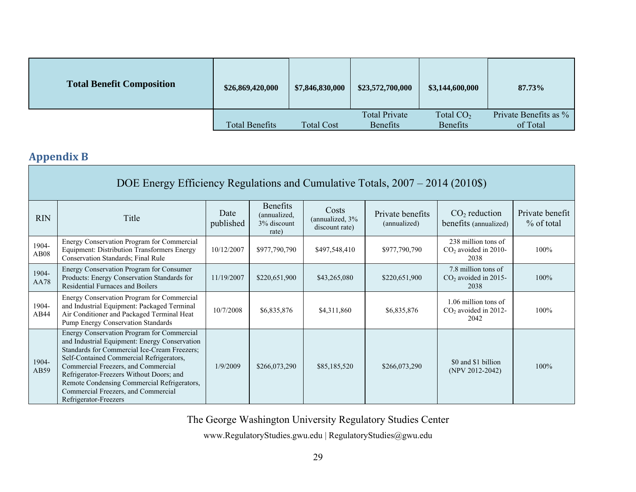| <b>Total Benefit Composition</b> | \$26,869,420,000      | \$7,846,830,000   | \$23,572,700,000     | \$3,144,600,000 | 87.73%                |
|----------------------------------|-----------------------|-------------------|----------------------|-----------------|-----------------------|
|                                  |                       |                   | <b>Total Private</b> | Total $CO2$     | Private Benefits as % |
|                                  | <b>Total Benefits</b> | <b>Total Cost</b> | <b>Benefits</b>      | <b>Benefits</b> | of Total              |

# **Appendix B**

|                      | DOE Energy Efficiency Regulations and Cumulative Totals, 2007 – 2014 (2010\$)                                                                                                                                                                                                                                                                                                             |                   |                                                         |                                             |                                  |                                                        |                                 |  |  |
|----------------------|-------------------------------------------------------------------------------------------------------------------------------------------------------------------------------------------------------------------------------------------------------------------------------------------------------------------------------------------------------------------------------------------|-------------------|---------------------------------------------------------|---------------------------------------------|----------------------------------|--------------------------------------------------------|---------------------------------|--|--|
| <b>RIN</b>           | Title                                                                                                                                                                                                                                                                                                                                                                                     | Date<br>published | <b>Benefits</b><br>(annualized,<br>3% discount<br>rate) | Costs<br>(annualized, 3%)<br>discount rate) | Private benefits<br>(annualized) | $CO2$ reduction<br>benefits (annualized)               | Private benefit<br>$%$ of total |  |  |
| 1904-<br><b>AB08</b> | Energy Conservation Program for Commercial<br>Equipment: Distribution Transformers Energy<br>Conservation Standards; Final Rule                                                                                                                                                                                                                                                           | 10/12/2007        | \$977,790,790                                           | \$497,548,410                               | \$977,790,790                    | 238 million tons of<br>$CO2$ avoided in 2010-<br>2038  | 100%                            |  |  |
| 1904-<br><b>AA78</b> | Energy Conservation Program for Consumer<br>Products: Energy Conservation Standards for<br>Residential Furnaces and Boilers                                                                                                                                                                                                                                                               | 11/19/2007        | \$220,651,900                                           | \$43,265,080                                | \$220,651,900                    | 7.8 million tons of<br>$CO2$ avoided in 2015-<br>2038  | 100%                            |  |  |
| 1904-<br>AB44        | Energy Conservation Program for Commercial<br>and Industrial Equipment: Packaged Terminal<br>Air Conditioner and Packaged Terminal Heat<br>Pump Energy Conservation Standards                                                                                                                                                                                                             | 10/7/2008         | \$6,835,876                                             | \$4,311,860                                 | \$6,835,876                      | 1.06 million tons of<br>$CO2$ avoided in 2012-<br>2042 | 100%                            |  |  |
| 1904-<br>AB59        | Energy Conservation Program for Commercial<br>and Industrial Equipment: Energy Conservation<br>Standards for Commercial Ice-Cream Freezers;<br>Self-Contained Commercial Refrigerators,<br>Commercial Freezers, and Commercial<br>Refrigerator-Freezers Without Doors; and<br>Remote Condensing Commercial Refrigerators,<br>Commercial Freezers, and Commercial<br>Refrigerator-Freezers | 1/9/2009          | \$266,073,290                                           | \$85,185,520                                | \$266,073,290                    | \$0 and \$1 billion<br>$(NPV 2012-2042)$               | 100%                            |  |  |

The George Washington University Regulatory Studies Center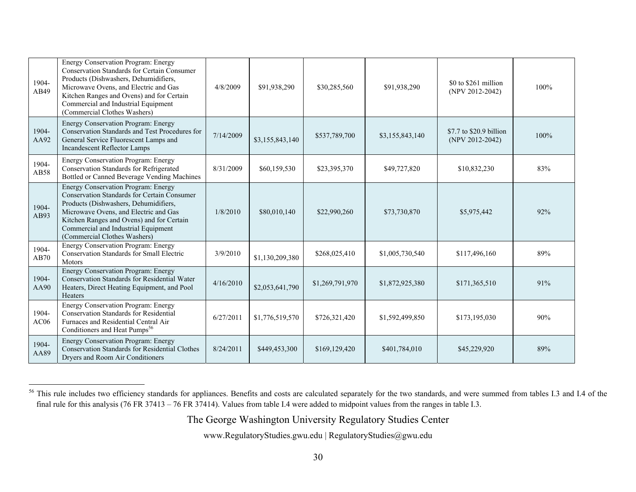| 1904-<br>AB49 | Energy Conservation Program: Energy<br><b>Conservation Standards for Certain Consumer</b><br>Products (Dishwashers, Dehumidifiers,<br>Microwave Ovens, and Electric and Gas<br>Kitchen Ranges and Ovens) and for Certain<br>Commercial and Industrial Equipment<br>(Commercial Clothes Washers)        | 4/8/2009  | \$91,938,290    | \$30,285,560                               | \$91,938,290    | \$0 to \$261 million<br>(NPV 2012-2042) | 100% |
|---------------|--------------------------------------------------------------------------------------------------------------------------------------------------------------------------------------------------------------------------------------------------------------------------------------------------------|-----------|-----------------|--------------------------------------------|-----------------|-----------------------------------------|------|
| 1904-<br>AA92 | Energy Conservation Program: Energy<br>Conservation Standards and Test Procedures for<br>7/14/2009<br>\$537,789,700<br>General Service Fluorescent Lamps and<br>\$3,155,843,140<br><b>Incandescent Reflector Lamps</b>                                                                                 |           | \$3,155,843,140 | \$7.7 to \$20.9 billion<br>(NPV 2012-2042) | 100%            |                                         |      |
| 1904-<br>AB58 | Energy Conservation Program: Energy<br>Conservation Standards for Refrigerated<br>8/31/2009<br>\$60,159,530<br>\$23,395,370<br>\$49,727,820<br>Bottled or Canned Beverage Vending Machines                                                                                                             |           | \$10,832,230    | 83%                                        |                 |                                         |      |
| 1904-<br>AB93 | <b>Energy Conservation Program: Energy</b><br><b>Conservation Standards for Certain Consumer</b><br>Products (Dishwashers, Dehumidifiers,<br>Microwave Ovens, and Electric and Gas<br>Kitchen Ranges and Ovens) and for Certain<br>Commercial and Industrial Equipment<br>(Commercial Clothes Washers) | 1/8/2010  | \$80,010,140    | \$22,990,260                               | \$73,730,870    | \$5,975,442                             | 92%  |
| 1904-<br>AB70 | Energy Conservation Program: Energy<br><b>Conservation Standards for Small Electric</b><br>Motors                                                                                                                                                                                                      | 3/9/2010  | \$1,130,209,380 | \$268,025,410                              | \$1,005,730,540 | \$117,496,160                           | 89%  |
| 1904-<br>AA90 | Energy Conservation Program: Energy<br><b>Conservation Standards for Residential Water</b><br>Heaters, Direct Heating Equipment, and Pool<br><b>Heaters</b>                                                                                                                                            | 4/16/2010 | \$2,053,641,790 | \$1,269,791,970                            | \$1,872,925,380 | \$171,365,510                           | 91%  |
| 1904-<br>AC06 | Energy Conservation Program: Energy<br><b>Conservation Standards for Residential</b><br>Furnaces and Residential Central Air<br>Conditioners and Heat Pumps <sup>56</sup>                                                                                                                              | 6/27/2011 | \$1,776,519,570 | \$726,321,420                              | \$1,592,499,850 | \$173,195,030                           | 90%  |
| 1904-<br>AA89 | Energy Conservation Program: Energy<br><b>Conservation Standards for Residential Clothes</b><br>Dryers and Room Air Conditioners                                                                                                                                                                       | 8/24/2011 | \$449,453,300   | \$169,129,420                              | \$401,784,010   | \$45,229,920                            | 89%  |

<sup>&</sup>lt;sup>56</sup> This rule includes two efficiency standards for appliances. Benefits and costs are calculated separately for the two standards, and were summed from tables I.3 and I.4 of the final rule for this analysis (76 FR 37413 – 76 FR 37414). Values from table I.4 were added to midpoint values from the ranges in table I.3.

The George Washington University Regulatory Studies Center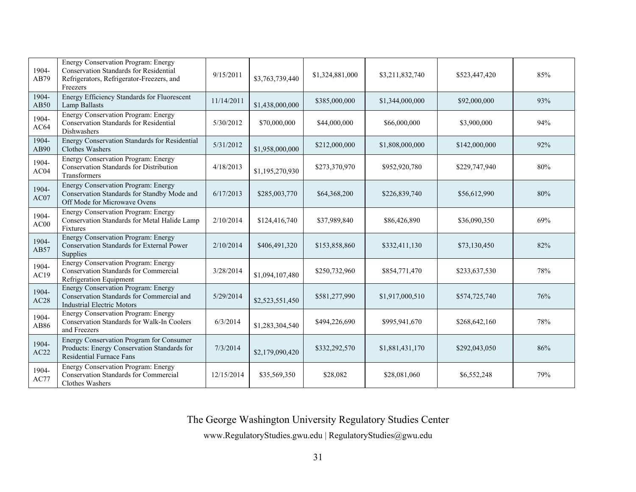| 1904-<br>AB79 | Energy Conservation Program: Energy<br><b>Conservation Standards for Residential</b><br>Refrigerators, Refrigerator-Freezers, and<br>Freezers | 9/15/2011  | \$3,763,739,440 | \$1,324,881,000 | \$3,211,832,740 | \$523,447,420 | 85% |
|---------------|-----------------------------------------------------------------------------------------------------------------------------------------------|------------|-----------------|-----------------|-----------------|---------------|-----|
| 1904-<br>AB50 | Energy Efficiency Standards for Fluorescent<br><b>Lamp Ballasts</b>                                                                           | 11/14/2011 | \$1,438,000,000 | \$385,000,000   | \$1,344,000,000 | \$92,000,000  | 93% |
| 1904-<br>AC64 | Energy Conservation Program: Energy<br><b>Conservation Standards for Residential</b><br>Dishwashers                                           | 5/30/2012  | \$70,000,000    | \$44,000,000    | \$66,000,000    | \$3,900,000   | 94% |
| 1904-<br>AB90 | Energy Conservation Standards for Residential<br>Clothes Washers                                                                              | 5/31/2012  | \$1,958,000,000 | \$212,000,000   | \$1,808,000,000 | \$142,000,000 | 92% |
| 1904-<br>AC04 | Energy Conservation Program: Energy<br>Conservation Standards for Distribution<br>Transformers                                                | 4/18/2013  | \$1,195,270,930 | \$273,370,970   | \$952,920,780   | \$229,747,940 | 80% |
| 1904-<br>AC07 | Energy Conservation Program: Energy<br>Conservation Standards for Standby Mode and<br>Off Mode for Microwave Ovens                            | 6/17/2013  | \$285,003,770   | \$64,368,200    | \$226,839,740   | \$56,612,990  | 80% |
| 1904-<br>AC00 | Energy Conservation Program: Energy<br>Conservation Standards for Metal Halide Lamp<br>Fixtures                                               | 2/10/2014  | \$124,416,740   | \$37,989,840    | \$86,426,890    | \$36,090,350  | 69% |
| 1904-<br>AB57 | Energy Conservation Program: Energy<br><b>Conservation Standards for External Power</b><br>Supplies                                           | 2/10/2014  | \$406,491,320   | \$153,858,860   | \$332,411,130   | \$73,130,450  | 82% |
| 1904-<br>AC19 | <b>Energy Conservation Program: Energy</b><br><b>Conservation Standards for Commercial</b><br>Refrigeration Equipment                         | 3/28/2014  | \$1,094,107,480 | \$250,732,960   | \$854,771,470   | \$233,637,530 | 78% |
| 1904-<br>AC28 | <b>Energy Conservation Program: Energy</b><br>Conservation Standards for Commercial and<br><b>Industrial Electric Motors</b>                  | 5/29/2014  | \$2,523,551,450 | \$581,277,990   | \$1,917,000,510 | \$574,725,740 | 76% |
| 1904-<br>AB86 | Energy Conservation Program: Energy<br>Conservation Standards for Walk-In Coolers<br>and Freezers                                             | 6/3/2014   | \$1,283,304,540 | \$494,226,690   | \$995,941,670   | \$268,642,160 | 78% |
| 1904-<br>AC22 | Energy Conservation Program for Consumer<br>Products: Energy Conservation Standards for<br><b>Residential Furnace Fans</b>                    | 7/3/2014   | \$2,179,090,420 | \$332,292,570   | \$1,881,431,170 | \$292,043,050 | 86% |
| 1904-<br>AC77 | Energy Conservation Program: Energy<br><b>Conservation Standards for Commercial</b><br>Clothes Washers                                        | 12/15/2014 | \$35,569,350    | \$28,082        | \$28,081,060    | \$6,552,248   | 79% |

The George Washington University Regulatory Studies Center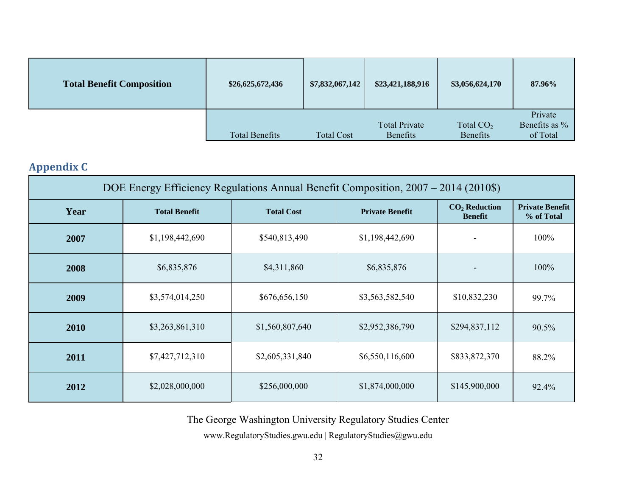| <b>Total Benefit Composition</b> | \$26,625,672,436      | \$7,832,067,142   | \$23,421,188,916                 | \$3,056,624,170                | 87.96%                               |
|----------------------------------|-----------------------|-------------------|----------------------------------|--------------------------------|--------------------------------------|
|                                  | <b>Total Benefits</b> | <b>Total Cost</b> | <b>Total Private</b><br>Benefits | Total $CO2$<br><b>Benefits</b> | Private<br>Benefits as %<br>of Total |

# **Appendix C**

| DOE Energy Efficiency Regulations Annual Benefit Composition, 2007 – 2014 (2010\$) |                      |                   |                        |                                   |                                      |  |  |  |
|------------------------------------------------------------------------------------|----------------------|-------------------|------------------------|-----------------------------------|--------------------------------------|--|--|--|
| Year                                                                               | <b>Total Benefit</b> | <b>Total Cost</b> | <b>Private Benefit</b> | $CO2$ Reduction<br><b>Benefit</b> | <b>Private Benefit</b><br>% of Total |  |  |  |
| 2007                                                                               | \$1,198,442,690      | \$540,813,490     | \$1,198,442,690        |                                   | 100%                                 |  |  |  |
| 2008                                                                               | \$6,835,876          | \$4,311,860       | \$6,835,876            |                                   | 100%                                 |  |  |  |
| 2009                                                                               | \$3,574,014,250      | \$676,656,150     | \$3,563,582,540        | \$10,832,230                      | 99.7%                                |  |  |  |
| 2010                                                                               | \$3,263,861,310      | \$1,560,807,640   | \$2,952,386,790        | \$294,837,112                     | 90.5%                                |  |  |  |
| 2011                                                                               | \$7,427,712,310      | \$2,605,331,840   | \$6,550,116,600        | \$833,872,370                     | 88.2%                                |  |  |  |
| 2012                                                                               | \$2,028,000,000      | \$256,000,000     | \$1,874,000,000        | \$145,900,000                     | 92.4%                                |  |  |  |

The George Washington University Regulatory Studies Center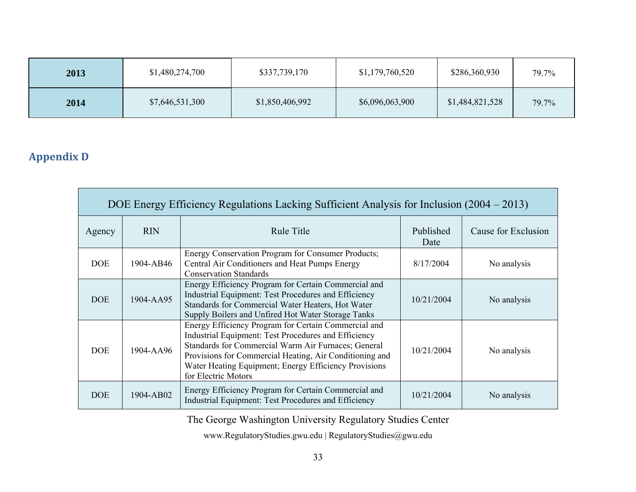| 2013 | \$1,480,274,700 | \$337,739,170   | \$1,179,760,520 | \$286,360,930   | 79.7% |
|------|-----------------|-----------------|-----------------|-----------------|-------|
| 2014 | \$7,646,531,300 | \$1,850,406,992 | \$6,096,063,900 | \$1,484,821,528 | 79.7% |

## **Appendix D**

| DOE Energy Efficiency Regulations Lacking Sufficient Analysis for Inclusion (2004 – 2013) |            |                                                                                                                                                                                                                                                                                                                |                   |                     |  |  |  |
|-------------------------------------------------------------------------------------------|------------|----------------------------------------------------------------------------------------------------------------------------------------------------------------------------------------------------------------------------------------------------------------------------------------------------------------|-------------------|---------------------|--|--|--|
| Agency                                                                                    | <b>RIN</b> | <b>Rule Title</b>                                                                                                                                                                                                                                                                                              | Published<br>Date | Cause for Exclusion |  |  |  |
| <b>DOE</b>                                                                                | 1904-AB46  | Energy Conservation Program for Consumer Products;<br>Central Air Conditioners and Heat Pumps Energy<br><b>Conservation Standards</b>                                                                                                                                                                          | 8/17/2004         | No analysis         |  |  |  |
| <b>DOE</b>                                                                                | 1904-AA95  | Energy Efficiency Program for Certain Commercial and<br>Industrial Equipment: Test Procedures and Efficiency<br>Standards for Commercial Water Heaters, Hot Water<br>Supply Boilers and Unfired Hot Water Storage Tanks                                                                                        | 10/21/2004        | No analysis         |  |  |  |
| <b>DOE</b>                                                                                | 1904-AA96  | Energy Efficiency Program for Certain Commercial and<br>Industrial Equipment: Test Procedures and Efficiency<br>Standards for Commercial Warm Air Furnaces; General<br>Provisions for Commercial Heating, Air Conditioning and<br>Water Heating Equipment; Energy Efficiency Provisions<br>for Electric Motors | 10/21/2004        | No analysis         |  |  |  |
| <b>DOE</b>                                                                                | 1904-AB02  | Energy Efficiency Program for Certain Commercial and<br>Industrial Equipment: Test Procedures and Efficiency                                                                                                                                                                                                   | 10/21/2004        | No analysis         |  |  |  |

The George Washington University Regulatory Studies Center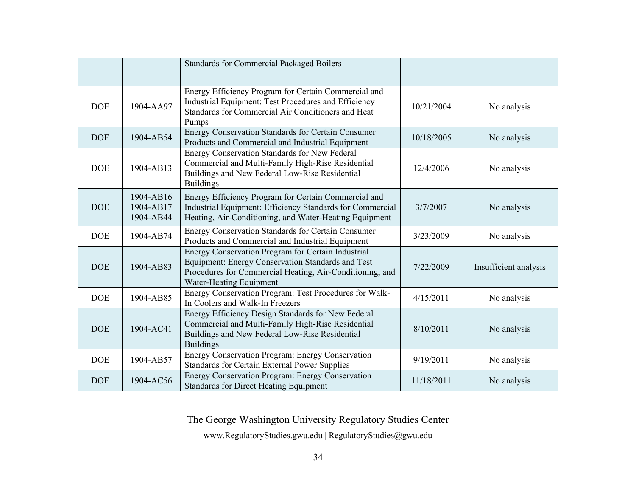|            |                                     | <b>Standards for Commercial Packaged Boilers</b>                                                                                                                                               |            |                       |
|------------|-------------------------------------|------------------------------------------------------------------------------------------------------------------------------------------------------------------------------------------------|------------|-----------------------|
| <b>DOE</b> | 1904-AA97                           | Energy Efficiency Program for Certain Commercial and<br>Industrial Equipment: Test Procedures and Efficiency<br>Standards for Commercial Air Conditioners and Heat<br>Pumps                    | 10/21/2004 | No analysis           |
| <b>DOE</b> | 1904-AB54                           | Energy Conservation Standards for Certain Consumer<br>Products and Commercial and Industrial Equipment                                                                                         | 10/18/2005 | No analysis           |
| <b>DOE</b> | 1904-AB13                           | <b>Energy Conservation Standards for New Federal</b><br>Commercial and Multi-Family High-Rise Residential<br>Buildings and New Federal Low-Rise Residential<br><b>Buildings</b>                | 12/4/2006  | No analysis           |
| <b>DOE</b> | 1904-AB16<br>1904-AB17<br>1904-AB44 | Energy Efficiency Program for Certain Commercial and<br>Industrial Equipment: Efficiency Standards for Commercial<br>Heating, Air-Conditioning, and Water-Heating Equipment                    | 3/7/2007   | No analysis           |
| <b>DOE</b> | 1904-AB74                           | <b>Energy Conservation Standards for Certain Consumer</b><br>Products and Commercial and Industrial Equipment                                                                                  | 3/23/2009  | No analysis           |
| <b>DOE</b> | 1904-AB83                           | Energy Conservation Program for Certain Industrial<br>Equipment: Energy Conservation Standards and Test<br>Procedures for Commercial Heating, Air-Conditioning, and<br>Water-Heating Equipment | 7/22/2009  | Insufficient analysis |
| <b>DOE</b> | 1904-AB85                           | Energy Conservation Program: Test Procedures for Walk-<br>In Coolers and Walk-In Freezers                                                                                                      | 4/15/2011  | No analysis           |
| <b>DOE</b> | 1904-AC41                           | Energy Efficiency Design Standards for New Federal<br>Commercial and Multi-Family High-Rise Residential<br>Buildings and New Federal Low-Rise Residential<br><b>Buildings</b>                  | 8/10/2011  | No analysis           |
| <b>DOE</b> | 1904-AB57                           | Energy Conservation Program: Energy Conservation<br><b>Standards for Certain External Power Supplies</b>                                                                                       | 9/19/2011  | No analysis           |
| <b>DOE</b> | 1904-AC56                           | Energy Conservation Program: Energy Conservation<br><b>Standards for Direct Heating Equipment</b>                                                                                              | 11/18/2011 | No analysis           |

The George Washington University Regulatory Studies Center